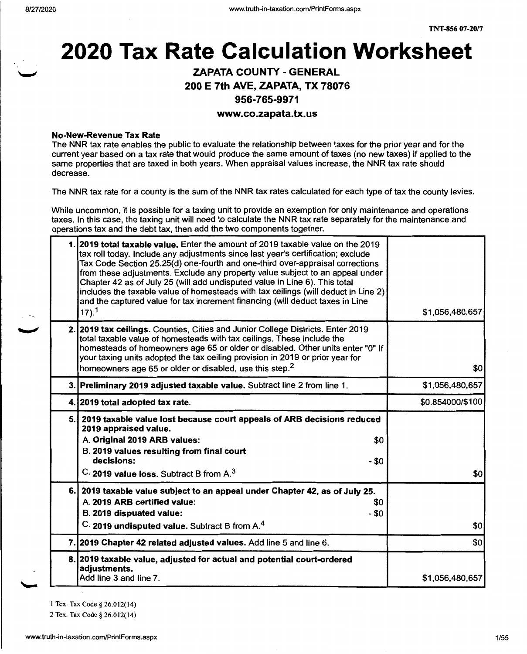$\sum$ 

# **2020 Tax Rate Calculation Worksheet**

## **ZAPATA COUNTY** - **GENERAL**

## 200 E **7th AVE, ZAPATA, TX 78076**

#### **956-765-9971**

#### **www.co.zapata.tx.us**

#### **No-New-Revenue Tax Rate**

The NNR tax rate enables the public to evaluate the relationship between taxes for the prior year and for the current year based on a tax rate that would produce the same amount of taxes (no new taxes) if applied to the same properties that are taxed in both years. When appraisal values increase, the NNR tax rate should decrease.

The NNR tax rate for a county is the sum of the NNR tax rates calculated for each type of tax the county levies.

While uncommon, it is possible for a taxing unit to provide an exemption for only maintenance and operations taxes. In this case, the taxing unit will need to calculate the NNR tax rate separately for the maintenance and operations tax and the debt tax, then add the two components together.

| 1. 2019 total taxable value. Enter the amount of 2019 taxable value on the 2019<br>tax roll today. Include any adjustments since last year's certification; exclude<br>Tax Code Section 25.25(d) one-fourth and one-third over-appraisal corrections<br>from these adjustments. Exclude any property value subject to an appeal under<br>Chapter 42 as of July 25 (will add undisputed value in Line 6). This total<br>includes the taxable value of homesteads with tax ceilings (will deduct in Line 2)<br>and the captured value for tax increment financing (will deduct taxes in Line<br>$17$ ). <sup>1</sup> |                | \$1,056,480,657  |
|--------------------------------------------------------------------------------------------------------------------------------------------------------------------------------------------------------------------------------------------------------------------------------------------------------------------------------------------------------------------------------------------------------------------------------------------------------------------------------------------------------------------------------------------------------------------------------------------------------------------|----------------|------------------|
| 2. 2019 tax ceilings. Counties, Cities and Junior College Districts. Enter 2019<br>total taxable value of homesteads with tax ceilings. These include the<br>homesteads of homeowners age 65 or older or disabled. Other units enter "0" If<br>your taxing units adopted the tax ceiling provision in 2019 or prior year for<br>homeowners age 65 or older or disabled, use this step. <sup>2</sup>                                                                                                                                                                                                                |                | \$0              |
| 3. Preliminary 2019 adjusted taxable value. Subtract line 2 from line 1.                                                                                                                                                                                                                                                                                                                                                                                                                                                                                                                                           |                | \$1,056,480,657  |
| 4. 2019 total adopted tax rate.                                                                                                                                                                                                                                                                                                                                                                                                                                                                                                                                                                                    |                | \$0.854000/\$100 |
| 5. 2019 taxable value lost because court appeals of ARB decisions reduced<br>2019 appraised value.<br>A. Original 2019 ARB values:<br>B. 2019 values resulting from final court<br>decisions:<br>C. 2019 value loss. Subtract B from A. <sup>3</sup>                                                                                                                                                                                                                                                                                                                                                               | \$0<br>$-$ \$0 | \$0              |
| 6. 2019 taxable value subject to an appeal under Chapter 42, as of July 25.<br>A. 2019 ARB certified value:<br>B. 2019 dispuated value:<br>C. 2019 undisputed value. Subtract B from A. <sup>4</sup>                                                                                                                                                                                                                                                                                                                                                                                                               | \$0<br>- \$0   | \$0              |
| 7. 2019 Chapter 42 related adjusted values. Add line 5 and line 6.                                                                                                                                                                                                                                                                                                                                                                                                                                                                                                                                                 |                | \$0              |
| 8. 2019 taxable value, adjusted for actual and potential court-ordered<br>adjustments.                                                                                                                                                                                                                                                                                                                                                                                                                                                                                                                             |                |                  |
| Add line 3 and line 7.                                                                                                                                                                                                                                                                                                                                                                                                                                                                                                                                                                                             |                | \$1,056,480,657  |

I Tex. Tax Code§ 26.012(14)

2 Tex. Tax Code§ 26.012(14)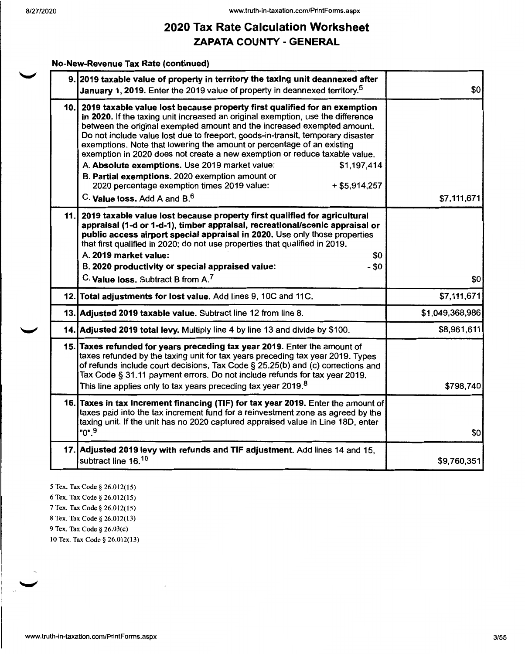$\overline{\phantom{0}}$ 

## **2020 Tax Rate Calculation Worksheet ZAPATA COUNTY** - **GENERAL**

### **No-New-Revenue Tax Rate (continued)**

|      | 9. 2019 taxable value of property in territory the taxing unit deannexed after<br>January 1, 2019. Enter the 2019 value of property in deannexed territory. <sup>5</sup>                                                                                                                                                                                                                                                                                                                                                                                                                                                                                                                                     | \$0             |
|------|--------------------------------------------------------------------------------------------------------------------------------------------------------------------------------------------------------------------------------------------------------------------------------------------------------------------------------------------------------------------------------------------------------------------------------------------------------------------------------------------------------------------------------------------------------------------------------------------------------------------------------------------------------------------------------------------------------------|-----------------|
| 10.1 | 2019 taxable value lost because property first qualified for an exemption<br>in 2020. If the taxing unit increased an original exemption, use the difference<br>between the original exempted amount and the increased exempted amount.<br>Do not include value lost due to freeport, goods-in-transit, temporary disaster<br>exemptions. Note that lowering the amount or percentage of an existing<br>exemption in 2020 does not create a new exemption or reduce taxable value.<br>A. Absolute exemptions. Use 2019 market value:<br>\$1,197,414<br>B. Partial exemptions. 2020 exemption amount or<br>2020 percentage exemption times 2019 value:<br>$+$ \$5,914,257<br>C. Value loss, Add A and $B^{6}$ | \$7,111,671     |
| 11.  | 2019 taxable value lost because property first qualified for agricultural<br>appraisal (1-d or 1-d-1), timber appraisal, recreational/scenic appraisal or<br>public access airport special appraisal in 2020. Use only those properties<br>that first qualified in 2020; do not use properties that qualified in 2019.<br>A. 2019 market value:<br>\$0<br>B. 2020 productivity or special appraised value:<br>$-$ \$0<br>C. Value loss. Subtract B from A. <sup>7</sup>                                                                                                                                                                                                                                      | \$0             |
|      | 12. Total adjustments for lost value. Add lines 9, 10C and 11C.                                                                                                                                                                                                                                                                                                                                                                                                                                                                                                                                                                                                                                              | \$7,111,671     |
|      | 13. Adjusted 2019 taxable value. Subtract line 12 from line 8.                                                                                                                                                                                                                                                                                                                                                                                                                                                                                                                                                                                                                                               | \$1,049,368,986 |
|      | 14. Adjusted 2019 total levy. Multiply line 4 by line 13 and divide by \$100.                                                                                                                                                                                                                                                                                                                                                                                                                                                                                                                                                                                                                                | \$8,961,611     |
|      | 15. Taxes refunded for years preceding tax year 2019. Enter the amount of<br>taxes refunded by the taxing unit for tax years preceding tax year 2019. Types<br>of refunds include court decisions, Tax Code § 25.25(b) and (c) corrections and<br>Tax Code § 31.11 payment errors. Do not include refunds for tax year 2019.<br>This line applies only to tax years preceding tax year 2019. <sup>8</sup>                                                                                                                                                                                                                                                                                                    | \$798,740       |
|      | 16. Taxes in tax increment financing (TIF) for tax year 2019. Enter the amount of<br>taxes paid into the tax increment fund for a reinvestment zone as agreed by the<br>taxing unit. If the unit has no 2020 captured appraised value in Line 18D, enter<br>"0".9                                                                                                                                                                                                                                                                                                                                                                                                                                            | \$0             |
|      | 17. Adjusted 2019 levy with refunds and TIF adjustment. Add lines 14 and 15,<br>subtract line 16.10                                                                                                                                                                                                                                                                                                                                                                                                                                                                                                                                                                                                          | \$9,760,351     |

5 Tex. Tax Code§ 26.012(15) 6 Tex. Tax Code§ 26.012(15) 7 Tex. Tax Code§ 26.012(15) 8 Tex. Tax Code§ 26.012(13) 9 Tex. Tax Code§ 26.03(c) 10 Tex. Tax Code§ 26.012(13)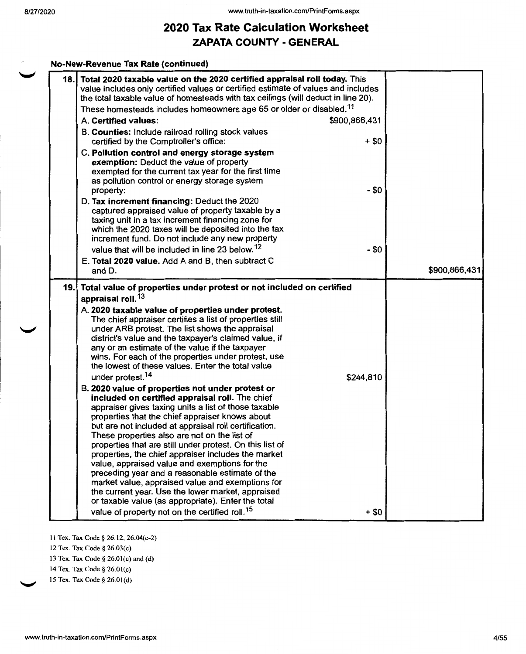#### **No-New-Revenue Tax Rate (continued)**

| 18. Total 2020 taxable value on the 2020 certified appraisal roll today. This<br>value includes only certified values or certified estimate of values and includes<br>the total taxable value of homesteads with tax ceilings (will deduct in line 20).                                                                                                                                                                                                                                                                                                                                                                                                                                                                                                                                                                                                                                                                                                                                                                                                                                                                                                                                                                                                                                                               |                      |               |
|-----------------------------------------------------------------------------------------------------------------------------------------------------------------------------------------------------------------------------------------------------------------------------------------------------------------------------------------------------------------------------------------------------------------------------------------------------------------------------------------------------------------------------------------------------------------------------------------------------------------------------------------------------------------------------------------------------------------------------------------------------------------------------------------------------------------------------------------------------------------------------------------------------------------------------------------------------------------------------------------------------------------------------------------------------------------------------------------------------------------------------------------------------------------------------------------------------------------------------------------------------------------------------------------------------------------------|----------------------|---------------|
| These homesteads includes homeowners age 65 or older or disabled. <sup>11</sup>                                                                                                                                                                                                                                                                                                                                                                                                                                                                                                                                                                                                                                                                                                                                                                                                                                                                                                                                                                                                                                                                                                                                                                                                                                       |                      |               |
| A. Certified values:                                                                                                                                                                                                                                                                                                                                                                                                                                                                                                                                                                                                                                                                                                                                                                                                                                                                                                                                                                                                                                                                                                                                                                                                                                                                                                  | \$900,866,431        |               |
| B. Counties: Include railroad rolling stock values<br>certified by the Comptroller's office:                                                                                                                                                                                                                                                                                                                                                                                                                                                                                                                                                                                                                                                                                                                                                                                                                                                                                                                                                                                                                                                                                                                                                                                                                          | $+ $0$               |               |
| C. Pollution control and energy storage system<br>exemption: Deduct the value of property<br>exempted for the current tax year for the first time<br>as pollution control or energy storage system<br>property:                                                                                                                                                                                                                                                                                                                                                                                                                                                                                                                                                                                                                                                                                                                                                                                                                                                                                                                                                                                                                                                                                                       | $-50$                |               |
| D. Tax increment financing: Deduct the 2020<br>captured appraised value of property taxable by a<br>taxing unit in a tax increment financing zone for<br>which the 2020 taxes will be deposited into the tax<br>increment fund. Do not include any new property                                                                                                                                                                                                                                                                                                                                                                                                                                                                                                                                                                                                                                                                                                                                                                                                                                                                                                                                                                                                                                                       |                      |               |
| value that will be included in line 23 below. <sup>12</sup>                                                                                                                                                                                                                                                                                                                                                                                                                                                                                                                                                                                                                                                                                                                                                                                                                                                                                                                                                                                                                                                                                                                                                                                                                                                           | - \$0                |               |
| E. Total 2020 value. Add A and B, then subtract C<br>and D.                                                                                                                                                                                                                                                                                                                                                                                                                                                                                                                                                                                                                                                                                                                                                                                                                                                                                                                                                                                                                                                                                                                                                                                                                                                           |                      | \$900,866,431 |
| 19. Total value of properties under protest or not included on certified<br>appraisal roll. <sup>13</sup><br>A. 2020 taxable value of properties under protest.<br>The chief appraiser certifies a list of properties still<br>under ARB protest. The list shows the appraisal<br>district's value and the taxpayer's claimed value, if<br>any or an estimate of the value if the taxpayer<br>wins. For each of the properties under protest, use<br>the lowest of these values. Enter the total value<br>under protest. <sup>14</sup><br>B. 2020 value of properties not under protest or<br>included on certified appraisal roll. The chief<br>appraiser gives taxing units a list of those taxable<br>properties that the chief appraiser knows about<br>but are not included at appraisal roll certification.<br>These properties also are not on the list of<br>properties that are still under protest. On this list of<br>properties, the chief appraiser includes the market<br>value, appraised value and exemptions for the<br>preceding year and a reasonable estimate of the<br>market value, appraised value and exemptions for<br>the current year. Use the lower market, appraised<br>or taxable value (as appropriate). Enter the total<br>value of property not on the certified roll. <sup>15</sup> | \$244,810<br>$+$ \$0 |               |

11 Tex. Tax Code§ 26.12, 26.04(c-2)

12 Tex. Tax Code§ 26.03(c)

13 Tex. Tax Code§ 26.0l(c) and (d)

- 14 Tex. Tax Code§ 26.0l(c)
- 15 Tex. Tax Code§ 26.0l(d)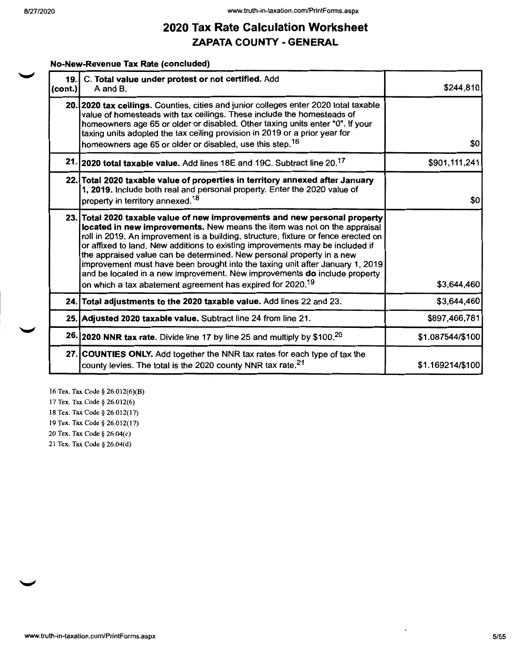#### **No-New-Revenue Tax Rate (concluded)**

| $ _{\text{(cont.)}} $ | 19. C. Total value under protest or not certified. Add<br>A and B.                                                                                                                                                                                                                                                                                                                                                                                                                                                                                                                                                                             | \$244,810        |
|-----------------------|------------------------------------------------------------------------------------------------------------------------------------------------------------------------------------------------------------------------------------------------------------------------------------------------------------------------------------------------------------------------------------------------------------------------------------------------------------------------------------------------------------------------------------------------------------------------------------------------------------------------------------------------|------------------|
|                       | 20. 2020 tax ceilings. Counties, cities and junior colleges enter 2020 total taxable<br>value of homesteads with tax ceilings. These include the homesteads of<br>homeowners age 65 or older or disabled. Other taxing units enter "0". If your<br>taxing units adopted the tax ceiling provision in 2019 or a prior year for<br>homeowners age 65 or older or disabled, use this step. <sup>16</sup>                                                                                                                                                                                                                                          | \$0              |
|                       | 21. 2020 total taxable value. Add lines 18E and 19C. Subtract line 20. <sup>17</sup>                                                                                                                                                                                                                                                                                                                                                                                                                                                                                                                                                           | \$901,111,241    |
|                       | 22. Total 2020 taxable value of properties in territory annexed after January<br>1, 2019. Include both real and personal property. Enter the 2020 value of<br>property in territory annexed. <sup>18</sup>                                                                                                                                                                                                                                                                                                                                                                                                                                     | \$0              |
|                       | 23. Total 2020 taxable value of new improvements and new personal property<br>located in new improvements. New means the item was not on the appraisal<br>roll in 2019. An improvement is a building, structure, fixture or fence erected on<br>or affixed to land. New additions to existing improvements may be included if<br>the appraised value can be determined. New personal property in a new<br>improvement must have been brought into the taxing unit after January 1, 2019<br>and be located in a new improvement. New improvements do include property<br>on which a tax abatement agreement has expired for 2020. <sup>19</sup> | \$3,644,460      |
|                       | 24. Total adjustments to the 2020 taxable value. Add lines 22 and 23.                                                                                                                                                                                                                                                                                                                                                                                                                                                                                                                                                                          | \$3,644,460      |
|                       | 25. Adjusted 2020 taxable value. Subtract line 24 from line 21.                                                                                                                                                                                                                                                                                                                                                                                                                                                                                                                                                                                | \$897,466,781    |
|                       | 26. 2020 NNR tax rate. Divide line 17 by line 25 and multiply by \$100. <sup>20</sup>                                                                                                                                                                                                                                                                                                                                                                                                                                                                                                                                                          | \$1.087544/\$100 |
|                       | 27. COUNTIES ONLY. Add together the NNR tax rates for each type of tax the<br>county levies. The total is the 2020 county NNR tax rate. <sup>21</sup>                                                                                                                                                                                                                                                                                                                                                                                                                                                                                          | \$1.169214/\$100 |

16 Tex. Tax Code§ 26.012(6)(B) 17 Tex. Tax Code§ 26.012(6)

18 Tex. Tax Code§ 26.012(17)

19 Tex. Tax Code§ 26.012(17)

20 Tex. Tax Code§ 26.04(c)

21 Tex. Tax Code§ 26.04(d)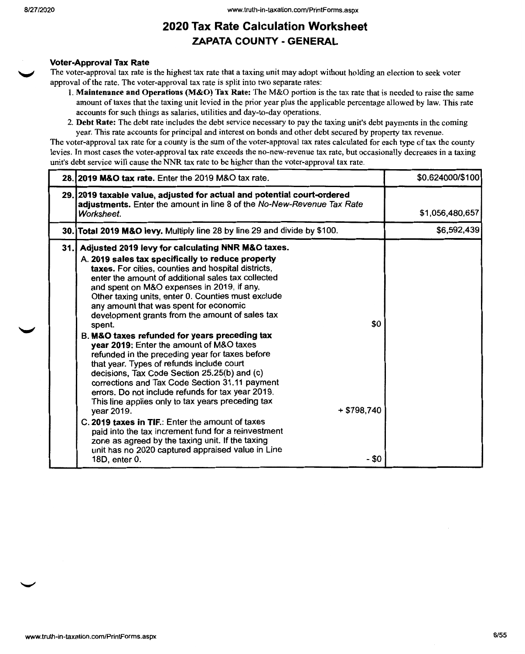#### **Voter-Approval Tax Rate**

The voter-approval tax rate is the highest tax rate that a taxing unit may adopt without holding an election to seek voter approval of the rate. The voter-approval tax rate is split into two separate rates:

- 1. **Maintenance and Operations (M&O) Tax Rate:** The M&O portion is the tax rate that is needed to raise the same amount of taxes that the taxing unit levied in the prior year plus the applicable percentage allowed by law. This rate accounts for such things as salaries, utilities and day-to-day operations.
- 2. **Debt Rate:** The debt rate includes the debt service necessary to pay the taxing unit's debt payments in the coming year. This rate accounts for principal and interest on bonds and other debt secured by property tax revenue.

The voter-approval tax rate for a county is the sum of the voter-approval tax rates calculated for each type of tax the county levies. In most cases the voter-approval tax rate exceeds the no-new-revenue tax rate, but occasionally decreases in a taxing unit's debt service will cause the NNR tax rate to be higher than the voter-approval tax rate.

| 28. 2019 M&O tax rate. Enter the 2019 M&O tax rate.                                                                                                                                                                                                                                                                                                                                                                                                                                                                                                                                                                                                                                                                                                                                                                                                                                                                                                                                                                                                                                                                           | \$0.624000/\$100 |
|-------------------------------------------------------------------------------------------------------------------------------------------------------------------------------------------------------------------------------------------------------------------------------------------------------------------------------------------------------------------------------------------------------------------------------------------------------------------------------------------------------------------------------------------------------------------------------------------------------------------------------------------------------------------------------------------------------------------------------------------------------------------------------------------------------------------------------------------------------------------------------------------------------------------------------------------------------------------------------------------------------------------------------------------------------------------------------------------------------------------------------|------------------|
| 29. 2019 taxable value, adjusted for actual and potential court-ordered<br>adjustments. Enter the amount in line 8 of the No-New-Revenue Tax Rate<br>Worksheet.                                                                                                                                                                                                                                                                                                                                                                                                                                                                                                                                                                                                                                                                                                                                                                                                                                                                                                                                                               | \$1,056,480,657  |
| 30. Total 2019 M&O levy. Multiply line 28 by line 29 and divide by \$100.                                                                                                                                                                                                                                                                                                                                                                                                                                                                                                                                                                                                                                                                                                                                                                                                                                                                                                                                                                                                                                                     | \$6,592,439      |
| 31. Adjusted 2019 levy for calculating NNR M&O taxes.<br>A. 2019 sales tax specifically to reduce property<br>taxes. For cities, counties and hospital districts,<br>enter the amount of additional sales tax collected<br>and spent on M&O expenses in 2019, if any.<br>Other taxing units, enter 0. Counties must exclude<br>any amount that was spent for economic<br>development grants from the amount of sales tax<br>\$0<br>spent.<br>B. M&O taxes refunded for years preceding tax<br>year 2019: Enter the amount of M&O taxes<br>refunded in the preceding year for taxes before<br>that year. Types of refunds include court<br>decisions, Tax Code Section 25.25(b) and (c)<br>corrections and Tax Code Section 31.11 payment<br>errors. Do not include refunds for tax year 2019.<br>This line applies only to tax years preceding tax<br>+ \$798,740<br>year 2019.<br>C. 2019 taxes in TIF.: Enter the amount of taxes<br>paid into the tax increment fund for a reinvestment<br>zone as agreed by the taxing unit. If the taxing<br>unit has no 2020 captured appraised value in Line<br>- \$0<br>18D, enter 0. |                  |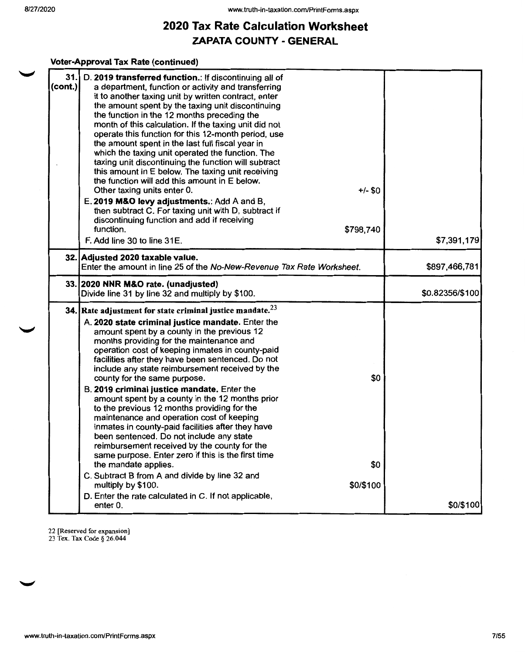#### **Voter-Approval Tax Rate (continued)**

| 31.<br>$\left(\text{cont.}\right)$ | D. 2019 transferred function.: If discontinuing all of<br>a department, function or activity and transferring<br>it to another taxing unit by written contract, enter<br>the amount spent by the taxing unit discontinuing<br>the function in the 12 months preceding the<br>month of this calculation. If the taxing unit did not<br>operate this function for this 12-month period, use<br>the amount spent in the last full fiscal year in<br>which the taxing unit operated the function. The<br>taxing unit discontinuing the function will subtract<br>this amount in E below. The taxing unit receiving<br>the function will add this amount in E below.<br>Other taxing units enter 0.<br>E. 2019 M&O levy adjustments.: Add A and B,<br>then subtract C. For taxing unit with D, subtract if<br>discontinuing function and add if receiving<br>function.<br>F. Add line 30 to line 31E.                 | $+/-$ \$0<br>\$798,740  | \$7,391,179     |
|------------------------------------|------------------------------------------------------------------------------------------------------------------------------------------------------------------------------------------------------------------------------------------------------------------------------------------------------------------------------------------------------------------------------------------------------------------------------------------------------------------------------------------------------------------------------------------------------------------------------------------------------------------------------------------------------------------------------------------------------------------------------------------------------------------------------------------------------------------------------------------------------------------------------------------------------------------|-------------------------|-----------------|
|                                    | 32. Adjusted 2020 taxable value.<br>Enter the amount in line 25 of the No-New-Revenue Tax Rate Worksheet.                                                                                                                                                                                                                                                                                                                                                                                                                                                                                                                                                                                                                                                                                                                                                                                                        |                         | \$897,466,781   |
|                                    | 33. 2020 NNR M&O rate. (unadjusted)<br>Divide line 31 by line 32 and multiply by \$100.                                                                                                                                                                                                                                                                                                                                                                                                                                                                                                                                                                                                                                                                                                                                                                                                                          |                         | \$0.82356/\$100 |
|                                    | 34. Rate adjustment for state criminal justice mandate. $^{23}$<br>A. 2020 state criminal justice mandate. Enter the<br>amount spent by a county in the previous 12<br>months providing for the maintenance and<br>operation cost of keeping inmates in county-paid<br>facilities after they have been sentenced. Do not<br>include any state reimbursement received by the<br>county for the same purpose.<br>B. 2019 criminal justice mandate. Enter the<br>amount spent by a county in the 12 months prior<br>to the previous 12 months providing for the<br>maintenance and operation cost of keeping<br>inmates in county-paid facilities after they have<br>been sentenced. Do not include any state<br>reimbursement received by the county for the<br>same purpose. Enter zero if this is the first time<br>the mandate applies.<br>C. Subtract B from A and divide by line 32 and<br>multiply by \$100. | \$0<br>\$0<br>\$0/\$100 |                 |
|                                    | D. Enter the rate calculated in C. If not applicable,<br>enter 0.                                                                                                                                                                                                                                                                                                                                                                                                                                                                                                                                                                                                                                                                                                                                                                                                                                                |                         | \$0/\$100       |

22 [Reserved for expansion] 23 Tex. Tax Code § 26.044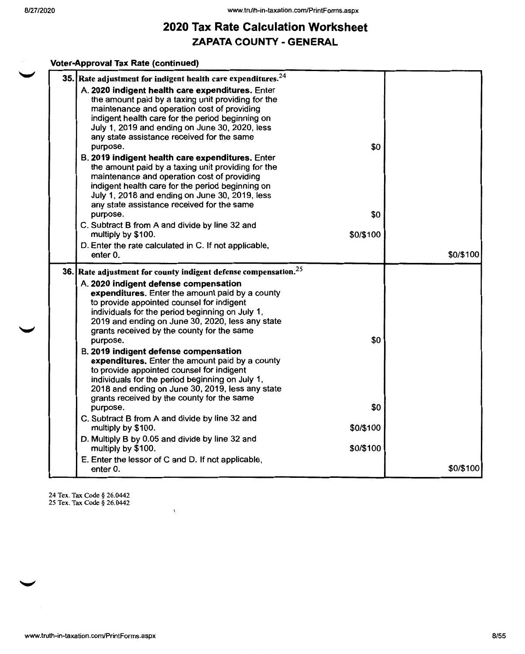#### **Voter-Approval Tax Rate (continued)**

|  | 35. Rate adjustment for indigent health care expenditures. <sup>24</sup><br>A. 2020 indigent health care expenditures. Enter<br>the amount paid by a taxing unit providing for the<br>maintenance and operation cost of providing<br>indigent health care for the period beginning on<br>July 1, 2019 and ending on June 30, 2020, less<br>any state assistance received for the same<br>purpose.<br>B. 2019 indigent health care expenditures. Enter<br>the amount paid by a taxing unit providing for the<br>maintenance and operation cost of providing<br>indigent health care for the period beginning on                                                                                                                                                                                                                                                                                | \$0                                  |           |
|--|-----------------------------------------------------------------------------------------------------------------------------------------------------------------------------------------------------------------------------------------------------------------------------------------------------------------------------------------------------------------------------------------------------------------------------------------------------------------------------------------------------------------------------------------------------------------------------------------------------------------------------------------------------------------------------------------------------------------------------------------------------------------------------------------------------------------------------------------------------------------------------------------------|--------------------------------------|-----------|
|  | July 1, 2018 and ending on June 30, 2019, less<br>any state assistance received for the same<br>purpose.<br>C. Subtract B from A and divide by line 32 and<br>multiply by \$100.<br>D. Enter the rate calculated in C. If not applicable,<br>enter 0.                                                                                                                                                                                                                                                                                                                                                                                                                                                                                                                                                                                                                                         | \$0<br>\$0/\$100                     | \$0/\$100 |
|  | 36. Rate adjustment for county indigent defense compensation. $25$<br>A. 2020 indigent defense compensation<br>expenditures. Enter the amount paid by a county<br>to provide appointed counsel for indigent<br>individuals for the period beginning on July 1,<br>2019 and ending on June 30, 2020, less any state<br>grants received by the county for the same<br>purpose.<br>B. 2019 indigent defense compensation<br>expenditures. Enter the amount paid by a county<br>to provide appointed counsel for indigent<br>individuals for the period beginning on July 1,<br>2018 and ending on June 30, 2019, less any state<br>grants received by the county for the same<br>purpose.<br>C. Subtract B from A and divide by line 32 and<br>multiply by \$100.<br>D. Multiply B by 0.05 and divide by line 32 and<br>multiply by \$100.<br>E. Enter the lessor of C and D. If not applicable, | \$0<br>\$0<br>\$0/\$100<br>\$0/\$100 |           |
|  | enter 0.                                                                                                                                                                                                                                                                                                                                                                                                                                                                                                                                                                                                                                                                                                                                                                                                                                                                                      |                                      | \$0/\$100 |

24 Tex. Tax Code § 26.0442 25 Tex. Tax Code § 26.0442

 $\overline{A}$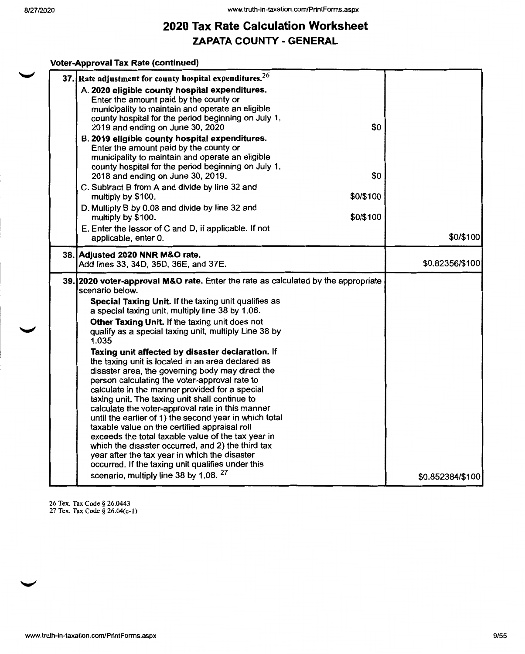#### **Voter-Approval Tax Rate (continued)**

| 37. Rate adjustment for county hospital expenditures. $26$                                                                                                                                                                                                                                                     |                  |
|----------------------------------------------------------------------------------------------------------------------------------------------------------------------------------------------------------------------------------------------------------------------------------------------------------------|------------------|
| A. 2020 eligible county hospital expenditures.<br>Enter the amount paid by the county or<br>municipality to maintain and operate an eligible<br>county hospital for the period beginning on July 1,<br>\$0<br>2019 and ending on June 30, 2020                                                                 |                  |
| B. 2019 eligible county hospital expenditures.<br>Enter the amount paid by the county or<br>municipality to maintain and operate an eligible<br>county hospital for the period beginning on July 1,<br>\$0<br>2018 and ending on June 30, 2019.                                                                |                  |
| C. Subtract B from A and divide by line 32 and<br>\$0/\$100<br>multiply by \$100.                                                                                                                                                                                                                              |                  |
| D. Multiply B by 0.08 and divide by line 32 and<br>\$0/\$100<br>multiply by \$100.                                                                                                                                                                                                                             |                  |
| E. Enter the lessor of C and D, if applicable. If not<br>applicable, enter 0.                                                                                                                                                                                                                                  | \$0/\$100        |
| 38. Adjusted 2020 NNR M&O rate.<br>Add lines 33, 34D, 35D, 36E, and 37E.                                                                                                                                                                                                                                       | \$0.82356/\$100  |
| 39. 2020 voter-approval M&O rate. Enter the rate as calculated by the appropriate<br>scenario below.                                                                                                                                                                                                           |                  |
| Special Taxing Unit. If the taxing unit qualifies as<br>a special taxing unit, multiply line 38 by 1.08.                                                                                                                                                                                                       |                  |
| Other Taxing Unit. If the taxing unit does not<br>qualify as a special taxing unit, multiply Line 38 by<br>1.035                                                                                                                                                                                               |                  |
| Taxing unit affected by disaster declaration. If<br>the taxing unit is located in an area declared as<br>disaster area, the governing body may direct the<br>person calculating the voter-approval rate to<br>calculate in the manner provided for a special<br>taxing unit. The taxing unit shall continue to |                  |
| calculate the voter-approval rate in this manner<br>until the earlier of 1) the second year in which total<br>taxable value on the certified appraisal roll                                                                                                                                                    |                  |
| exceeds the total taxable value of the tax year in<br>which the disaster occurred, and 2) the third tax<br>year after the tax year in which the disaster                                                                                                                                                       |                  |
| occurred. If the taxing unit qualifies under this                                                                                                                                                                                                                                                              |                  |
| scenario, multiply line 38 by 1.08. 27                                                                                                                                                                                                                                                                         | \$0.852384/\$100 |

26 Tex. Tax Code§ 26.0443 27 Tex. Tax Code§ 26.04(c-l)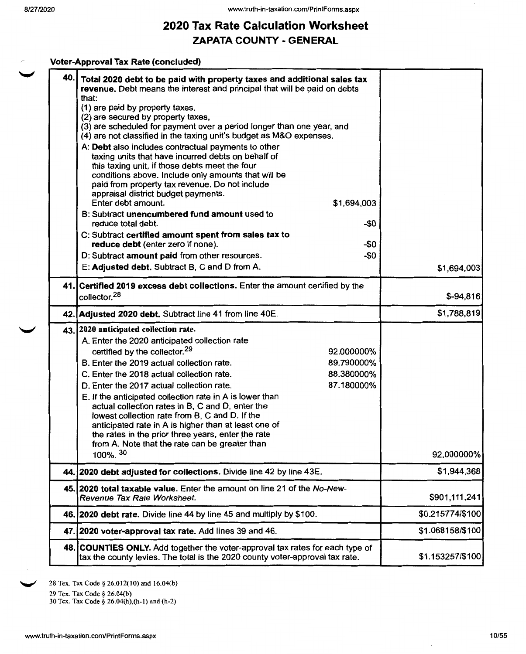**Voter-Approval Tax Rate (concluded)** 

| 40. |                                                                                                                                                               |                  |
|-----|---------------------------------------------------------------------------------------------------------------------------------------------------------------|------------------|
|     | Total 2020 debt to be paid with property taxes and additional sales tax<br>revenue. Debt means the interest and principal that will be paid on debts          |                  |
|     | that:                                                                                                                                                         |                  |
|     | (1) are paid by property taxes,                                                                                                                               |                  |
|     | (2) are secured by property taxes,<br>(3) are scheduled for payment over a period longer than one year, and                                                   |                  |
|     | (4) are not classified in the taxing unit's budget as M&O expenses.                                                                                           |                  |
|     | A: Debt also includes contractual payments to other                                                                                                           |                  |
|     | taxing units that have incurred debts on behalf of                                                                                                            |                  |
|     | this taxing unit, if those debts meet the four                                                                                                                |                  |
|     | conditions above. Include only amounts that will be<br>paid from property tax revenue. Do not include                                                         |                  |
|     | appraisal district budget payments.                                                                                                                           |                  |
|     | \$1,694,003<br>Enter debt amount.                                                                                                                             |                  |
|     | B: Subtract unencumbered fund amount used to                                                                                                                  |                  |
|     | $-\$0$<br>reduce total debt.                                                                                                                                  |                  |
|     | C: Subtract certified amount spent from sales tax to<br>-\$0<br>reduce debt (enter zero if none).                                                             |                  |
|     | -\$0<br>D: Subtract amount paid from other resources.                                                                                                         |                  |
|     | E: Adjusted debt. Subtract B, C and D from A.                                                                                                                 | \$1,694,003      |
|     |                                                                                                                                                               |                  |
|     | 41. Certified 2019 excess debt collections. Enter the amount certified by the                                                                                 |                  |
|     | collector. <sup>28</sup>                                                                                                                                      | $$-94,816$       |
|     | 42. Adjusted 2020 debt. Subtract line 41 from line 40E.                                                                                                       | \$1,788,819      |
|     | 43. 2020 anticipated collection rate.                                                                                                                         |                  |
|     | A. Enter the 2020 anticipated collection rate                                                                                                                 |                  |
|     | certified by the collector. <sup>29</sup><br>92.000000%                                                                                                       |                  |
|     | 89.790000%<br>B. Enter the 2019 actual collection rate.                                                                                                       |                  |
|     | 88.380000%<br>C. Enter the 2018 actual collection rate.                                                                                                       |                  |
|     | 87.180000%<br>D. Enter the 2017 actual collection rate.                                                                                                       |                  |
|     | E. If the anticipated collection rate in A is lower than<br>actual collection rates in B, C and D, enter the                                                  |                  |
|     | lowest collection rate from B, C and D. If the                                                                                                                |                  |
|     | anticipated rate in A is higher than at least one of                                                                                                          |                  |
|     | the rates in the prior three years, enter the rate<br>from A. Note that the rate can be greater than                                                          |                  |
|     | 100%. 30                                                                                                                                                      | 92.000000%       |
|     |                                                                                                                                                               | \$1,944,368      |
|     | 44. 2020 debt adjusted for collections. Divide line 42 by line 43E.                                                                                           |                  |
|     | 45. 2020 total taxable value. Enter the amount on line 21 of the No-New-<br>Revenue Tax Rate Worksheet.                                                       | \$901,111,241    |
|     | 46. 2020 debt rate. Divide line 44 by line 45 and multiply by \$100.                                                                                          | \$0.215774/\$100 |
|     | 47. 2020 voter-approval tax rate. Add lines 39 and 46.                                                                                                        | \$1.068158/\$100 |
|     |                                                                                                                                                               |                  |
|     | 48. COUNTIES ONLY. Add together the voter-approval tax rates for each type of<br>tax the county levies. The total is the 2020 county voter-approval tax rate. | \$1.153257/\$100 |
|     |                                                                                                                                                               |                  |

28 Tex. Tax Code § 26.012(10) and 16.04(b) 29 Tex. Tax Code§ 26.04(b)

30 Tex. Tax Code§ 26.04(h),(h-1) and (h-2)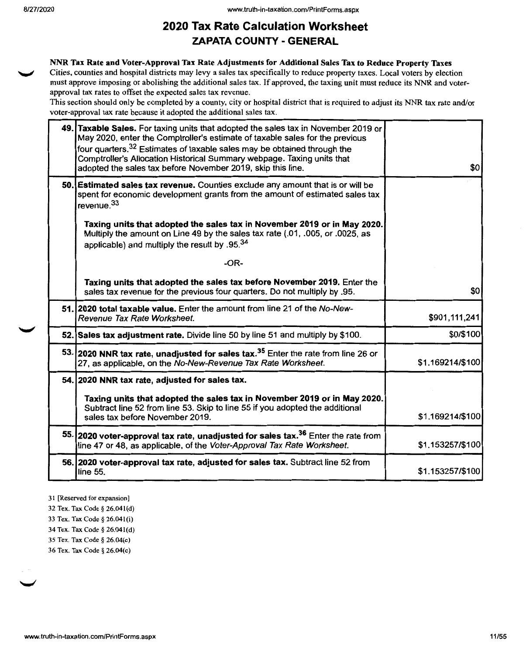#### **NNR Tax Rate and Voter-Approval Tax Rate Adjustments for Additional Sales Tax to Reduce Property Taxes**

Cities, counties and hospital districts may levy a sales tax specifically to reduce property taxes. Local voters by election must approve imposing or abolishing the additional sales tax. If approved, the taxing unit must reduce its NNR and voterapproval tax rates to offset the expected sales tax revenue.

This section should only be completed by a county, city or hospital district that is required to adjust its NNR tax rate and/or voter-approval tax rate because it adopted the additional sales tax.

| 49. Taxable Sales. For taxing units that adopted the sales tax in November 2019 or<br>May 2020, enter the Comptroller's estimate of taxable sales for the previous<br>four quarters. <sup>32</sup> Estimates of taxable sales may be obtained through the<br>Comptroller's Allocation Historical Summary webpage. Taxing units that<br>adopted the sales tax before November 2019, skip this line. | \$0              |
|----------------------------------------------------------------------------------------------------------------------------------------------------------------------------------------------------------------------------------------------------------------------------------------------------------------------------------------------------------------------------------------------------|------------------|
| 50. Estimated sales tax revenue. Counties exclude any amount that is or will be<br>spent for economic development grants from the amount of estimated sales tax<br>revenue. <sup>33</sup>                                                                                                                                                                                                          |                  |
| Taxing units that adopted the sales tax in November 2019 or in May 2020.<br>Multiply the amount on Line 49 by the sales tax rate (.01, .005, or .0025, as<br>applicable) and multiply the result by .95.34                                                                                                                                                                                         |                  |
| $-OR-$                                                                                                                                                                                                                                                                                                                                                                                             |                  |
| Taxing units that adopted the sales tax before November 2019. Enter the<br>sales tax revenue for the previous four quarters. Do not multiply by .95.                                                                                                                                                                                                                                               | \$0              |
| 51. 2020 total taxable value. Enter the amount from line 21 of the No-New-<br>Revenue Tax Rate Worksheet.                                                                                                                                                                                                                                                                                          | \$901,111,241    |
| 52. Sales tax adjustment rate. Divide line 50 by line 51 and multiply by \$100.                                                                                                                                                                                                                                                                                                                    | \$0/\$100        |
| 53. 2020 NNR tax rate, unadjusted for sales tax. <sup>35</sup> Enter the rate from line 26 or<br>27, as applicable, on the No-New-Revenue Tax Rate Worksheet.                                                                                                                                                                                                                                      | \$1.169214/\$100 |
| 54. 2020 NNR tax rate, adjusted for sales tax.                                                                                                                                                                                                                                                                                                                                                     |                  |
| Taxing units that adopted the sales tax in November 2019 or in May 2020.<br>Subtract line 52 from line 53. Skip to line 55 if you adopted the additional<br>sales tax before November 2019.                                                                                                                                                                                                        | \$1.169214/\$100 |
| 55. 2020 voter-approval tax rate, unadjusted for sales tax. <sup>36</sup> Enter the rate from<br>line 47 or 48, as applicable, of the Voter-Approval Tax Rate Worksheet.                                                                                                                                                                                                                           | \$1.153257/\$100 |
| 56. 2020 voter-approval tax rate, adjusted for sales tax. Subtract line 52 from<br>line 55.                                                                                                                                                                                                                                                                                                        | \$1.153257/\$100 |

31 [Reserved for expansion]

32 Tex. Tax Code§ 26.04l(d)

33 Tex. Tax Code§ 26.04l(i)

34 Tex. Tax Code§ 26.04l(d)

35 Tex. Tax Code§ 26.04(c)

36 Tex. Tax Code§ 26.04(c)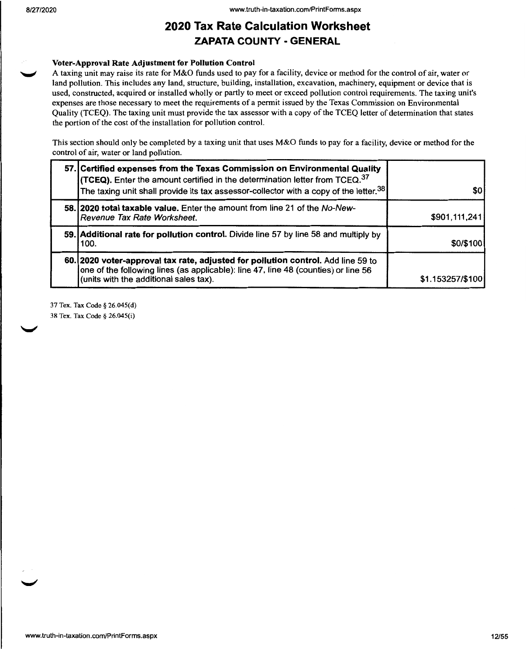#### **Voter-Approval Rate Adjustment for Pollution Control**

**'-a,;** A taxing unit may raise its rate for M&O funds used to pay for a facility, device or method for the control of air, water or land pollution. This includes any land, structure, building, installation, excavation, machinery, equipment or device that is used, constructed, acquired or installed wholly or partly to meet or exceed pollution control requirements. The taxing unit's expenses are those necessary to meet the requirements of a permit issued by the Texas Commission on Environmental Quality (TCEQ). The taxing unit must provide the tax assessor with a copy of the TCEQ letter of determination that states the portion of the cost of the installation for pollution control.

This section should only be completed by a taxing unit that uses M&O funds to pay for a facility, device or method for the control of air, water or land pollution.

| 57. Certified expenses from the Texas Commission on Environmental Quality<br><b>(TCEQ).</b> Enter the amount certified in the determination letter from TCEQ. <sup>37</sup><br>The taxing unit shall provide its tax assessor-collector with a copy of the letter. <sup>38</sup> | \$0l             |
|----------------------------------------------------------------------------------------------------------------------------------------------------------------------------------------------------------------------------------------------------------------------------------|------------------|
| 58.12020 total taxable value. Enter the amount from line 21 of the No-New-<br>Revenue Tax Rate Worksheet.                                                                                                                                                                        | \$901,111,241    |
| 59. Additional rate for pollution control. Divide line 57 by line 58 and multiply by<br>100.                                                                                                                                                                                     | \$0/\$100        |
| 60. 2020 voter-approval tax rate, adjusted for pollution control. Add line 59 to<br>one of the following lines (as applicable): line 47, line 48 (counties) or line 56<br>(units with the additional sales tax).                                                                 | \$1.153257/\$100 |

37 Tex. Tax Code§ 26.045(d) 38 Tex. Tax Code § 26.045(i)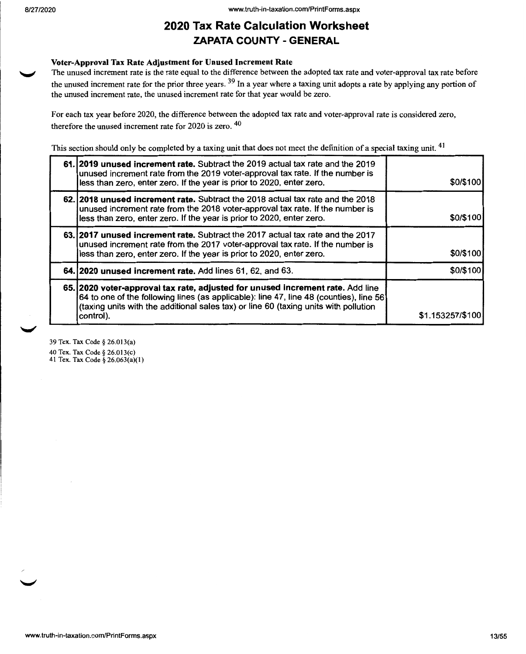#### **Voter-Approval Tax Rate Adjustment for Unused Increment Rate**

The unused increment rate is the rate equal to the difference between the adopted tax rate and voter-approval tax rate before the unused increment rate for the prior three years. 39 In a year where a taxing unit adopts a rate by applying any portion of the unused increment rate, the unused increment rate for that year would be zero.

For each tax year before 2020, the difference between the adopted tax rate and voter-approval rate is considered zero, therefore the unused increment rate for 2020 is zero. <sup>40</sup>

This section should only be completed by a taxing unit that does not meet the definition of a special taxing unit. <sup>41</sup>

| 61. 2019 unused increment rate. Subtract the 2019 actual tax rate and the 2019<br>unused increment rate from the 2019 voter-approval tax rate. If the number is<br>less than zero, enter zero. If the year is prior to 2020, enter zero.                                      | \$0/\$100        |
|-------------------------------------------------------------------------------------------------------------------------------------------------------------------------------------------------------------------------------------------------------------------------------|------------------|
| 62.12018 unused increment rate. Subtract the 2018 actual tax rate and the 2018<br>unused increment rate from the 2018 voter-approval tax rate. If the number is<br>less than zero, enter zero. If the year is prior to 2020, enter zero.                                      | \$0/\$100        |
| 63. 2017 unused increment rate. Subtract the 2017 actual tax rate and the 2017<br>unused increment rate from the 2017 voter-approval tax rate. If the number is<br>less than zero, enter zero. If the year is prior to 2020, enter zero.                                      | \$0/\$100        |
| 64. 2020 unused increment rate. Add lines 61, 62, and 63.                                                                                                                                                                                                                     | \$0/\$100        |
| 65. 2020 voter-approval tax rate, adjusted for unused increment rate. Add line<br>64 to one of the following lines (as applicable): line 47, line 48 (counties), line 56<br>(taxing units with the additional sales tax) or line 60 (taxing units with pollution<br>control). | \$1.153257/\$100 |

39 Tex. Tax Code§ 26.013(a) 40 Tex. Tax Code§ 26.013(c) 41 Tex. Tax Code§ 26.063(a)(I)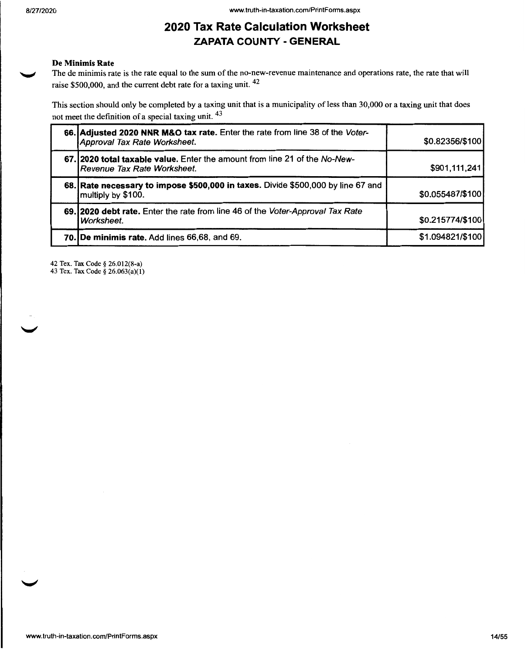#### **De Minimis Rate**

The de minimis rate is the rate equal to the sum of the no-new-revenue maintenance and operations rate, the rate that will raise \$500,000, and the current debt rate for a taxing unit. <sup>42</sup>

This section should only be completed by a taxing unit that is a municipality of less than 30,000 or a taxing unit that does not meet the definition of a special taxing unit. <sup>43</sup>

| 66. Adjusted 2020 NNR M&O tax rate. Enter the rate from line 38 of the Voter-<br>Approval Tax Rate Worksheet. | \$0.82356/\$100  |
|---------------------------------------------------------------------------------------------------------------|------------------|
| 67.12020 total taxable value. Enter the amount from line 21 of the No-New-<br>Revenue Tax Rate Worksheet.     | \$901,111,241    |
| 68. Rate necessary to impose \$500,000 in taxes. Divide \$500,000 by line 67 and<br>multiply by \$100.        | \$0.055487/\$100 |
| 69. 2020 debt rate. Enter the rate from line 46 of the Voter-Approval Tax Rate<br>Worksheet.                  | \$0.215774/\$100 |
| 70. De minimis rate. Add lines 66,68, and 69.                                                                 | \$1.094821/\$100 |

42 Tex. Tax Code§ 26.012(8-a) 43 Tex. Tax Code§ 26.063(a)(l)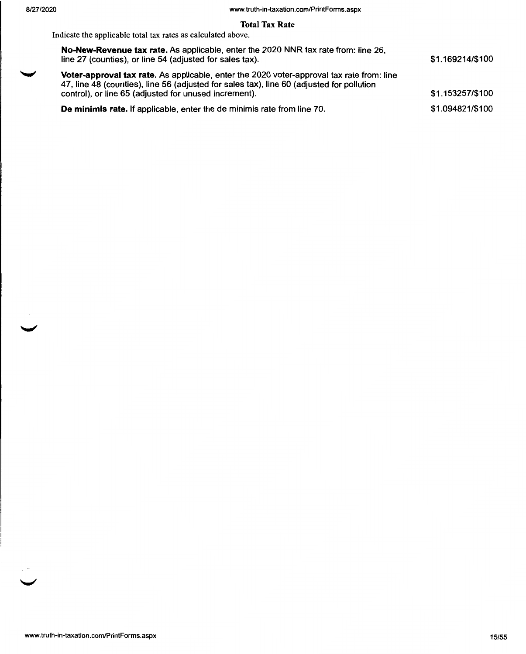**Total Tax Rate** 

Indicate the applicable total tax rates as calculated above.

| No-New-Revenue tax rate. As applicable, enter the 2020 NNR tax rate from: line 26.<br>line 27 (counties), or line 54 (adjusted for sales tax).                                                                                                         | \$1.169214/\$100 |
|--------------------------------------------------------------------------------------------------------------------------------------------------------------------------------------------------------------------------------------------------------|------------------|
| <b>Voter-approval tax rate.</b> As applicable, enter the 2020 voter-approval tax rate from: line<br>47, line 48 (counties), line 56 (adjusted for sales tax), line 60 (adjusted for pollution<br>control), or line 65 (adjusted for unused increment). | \$1.153257/\$100 |
| De minimis rate. If applicable, enter the de minimis rate from line 70.                                                                                                                                                                                | \$1.094821/\$100 |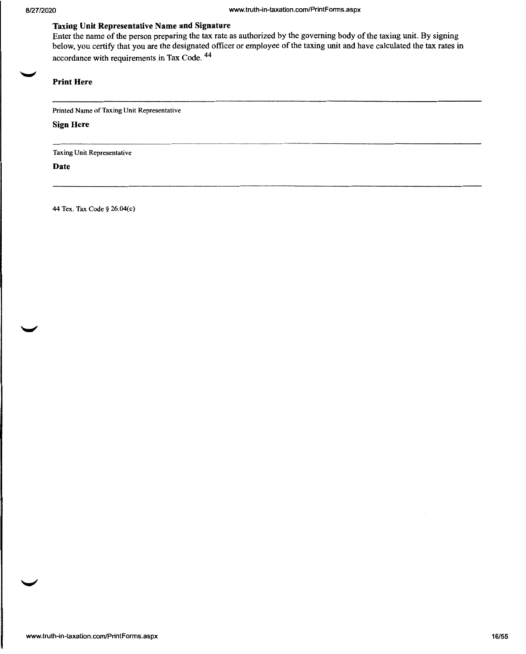#### **Taxing Unit Representative Name and Signature**

Enter the name of the person preparing the tax rate as authorized by the governing body of the taxing unit. By signing below, you certify that you are the designated officer or employee of the taxing unit and have calculated the tax rates in accordance with requirements in Tax Code. <sup>44</sup>

#### **Print Here**

Printed Name of Taxing Unit Representative

#### **Sign Here**

Taxing Unit Representative

**Date** 

44 Tex. Tax Code§ 26.04(c)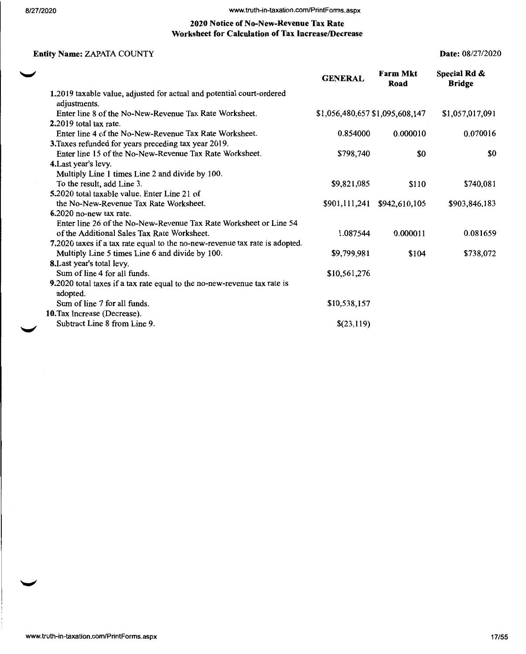#### www.truth-in-taxation.com/PrintForms.aspx

#### **2020 Notice of No-New-Revenue Tax Rate Worksheet for Calculation of Tax Increase/Decrease**

#### **Entity Name:** ZAPATA COUNTY

**Date:** 08/27/2020

|                                                                                      | <b>GENERAL</b>                  | <b>Farm Mkt</b><br>Road | Special Rd &<br><b>Bridge</b> |
|--------------------------------------------------------------------------------------|---------------------------------|-------------------------|-------------------------------|
| 1.2019 taxable value, adjusted for actual and potential court-ordered                |                                 |                         |                               |
| adjustments.                                                                         |                                 |                         |                               |
| Enter line 8 of the No-New-Revenue Tax Rate Worksheet.                               | \$1,056,480,657 \$1,095,608,147 |                         | \$1,057,017,091               |
| 2.2019 total tax rate.                                                               |                                 |                         |                               |
| Enter line 4 of the No-New-Revenue Tax Rate Worksheet.                               | 0.854000                        | 0.000010                | 0.070016                      |
| 3. Taxes refunded for years preceding tax year 2019.                                 |                                 |                         |                               |
| Enter line 15 of the No-New-Revenue Tax Rate Worksheet.                              | \$798,740                       | \$0                     | \$0                           |
| 4. Last year's levy.                                                                 |                                 |                         |                               |
| Multiply Line 1 times Line 2 and divide by 100.                                      |                                 |                         |                               |
| To the result, add Line 3.                                                           | \$9,821,085                     | \$110                   | \$740,081                     |
| 5.2020 total taxable value. Enter Line 21 of                                         |                                 |                         |                               |
| the No-New-Revenue Tax Rate Worksheet.                                               | \$901,111,241                   | \$942,610,105           | \$903,846,183                 |
| $6.2020$ no-new tax rate.                                                            |                                 |                         |                               |
| Enter line 26 of the No-New-Revenue Tax Rate Worksheet or Line 54                    |                                 |                         |                               |
| of the Additional Sales Tax Rate Worksheet.                                          | 1.087544                        | 0.000011                | 0.081659                      |
| 7.2020 taxes if a tax rate equal to the no-new-revenue tax rate is adopted.          |                                 |                         |                               |
| Multiply Line 5 times Line 6 and divide by 100.                                      | \$9,799,981                     | \$104                   | \$738,072                     |
| 8. Last year's total levy.                                                           |                                 |                         |                               |
| Sum of line 4 for all funds.                                                         | \$10,561,276                    |                         |                               |
| 9.2020 total taxes if a tax rate equal to the no-new-revenue tax rate is<br>adopted. |                                 |                         |                               |
| Sum of line 7 for all funds.                                                         | \$10,538,157                    |                         |                               |
| 10. Tax Increase (Decrease).                                                         |                                 |                         |                               |
| Subtract Line 8 from Line 9.                                                         | \$(23,119)                      |                         |                               |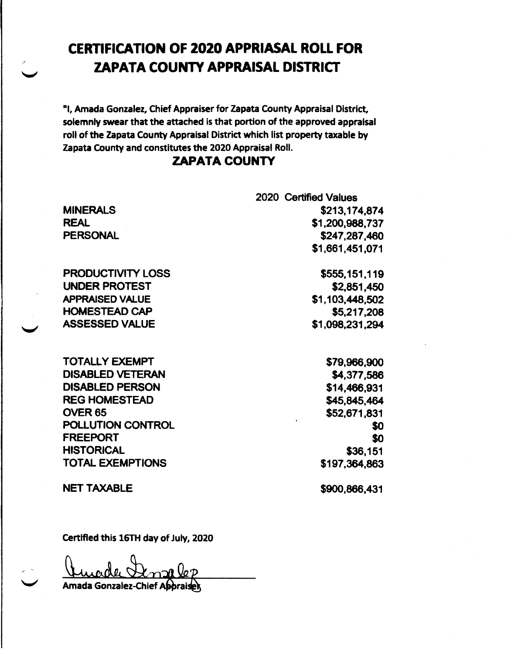## **CERTIFICATION OF 2020 APPRIASAL ROLL FOR ZAPATA COUNTY APPRAISAL DISTRICT**

"11 Amada Gonzalez, Chief Appraiser for Zapata County Appraisal District, solemnly swear that the attached is that portion of the approved appraisal roll of the Zapata County Appraisal District which list property taxable by Zapata County and constitutes the 2020 Appraisal Roll.

## **ZAPATA COUNTY**

|                          | 2020 Certified Values |
|--------------------------|-----------------------|
| <b>MINERALS</b>          | \$213,174,874         |
| <b>REAL</b>              | \$1,200,988,737       |
| <b>PERSONAL</b>          | \$247,287,460         |
|                          | \$1,661,451,071       |
| <b>PRODUCTIVITY LOSS</b> | \$555,151,119         |
| <b>UNDER PROTEST</b>     | \$2,851,450           |
| <b>APPRAISED VALUE</b>   | \$1,103,448,502       |
| <b>HOMESTEAD CAP</b>     | \$5,217,208           |
| <b>ASSESSED VALUE</b>    | \$1,098,231,294       |
| <b>TOTALLY EXEMPT</b>    | \$79,966,900          |
| <b>DISABLED VETERAN</b>  | \$4,377,586           |
| <b>DISABLED PERSON</b>   | \$14,466,931          |
| <b>REG HOMESTEAD</b>     | \$45,845,464          |
| <b>OVER 65</b>           | \$52,671,831          |
| POLLUTION CONTROL        | \$0                   |
| <b>FREEPORT</b>          | \$0                   |
| <b>HISTORICAL</b>        | \$36,151              |
| <b>TOTAL EXEMPTIONS</b>  | \$197,364,863         |
| <b>NET TAXABLE</b>       | \$900,866,431         |

Certified this 16TH day of July, 2020

Amada Gonzalez-Chief Aporaiser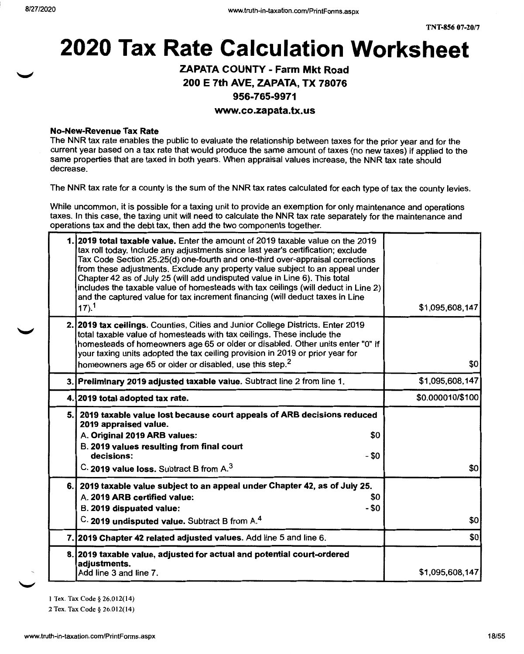# **2020 Tax Rate Calculation Worksheet**

#### **ZAPATA COUNTY-Farm Mkt Road**  200 E **7th AVE, ZAPATA, TX 78076**

#### **956-765-9971**

#### www.co.zapata.tx.us

#### **No-New-Revenue Tax Rate**

The NNR tax rate enables the public to evaluate the relationship between taxes for the prior year and for the current year based on a tax rate that would produce the same amount of taxes (no new taxes) if applied to the same properties that are taxed in both years. When appraisal values increase, the NNR tax rate should decrease.

The NNR tax rate for a county is the sum of the NNR tax rates calculated for each type of tax the county levies.

While uncommon, it is possible for a taxing unit to provide an exemption for only maintenance and operations taxes. In this case, the taxing unit will need to calculate the NNR tax rate separately for the maintenance and operations tax and the debt tax, then add the two components together.

| 1. 2019 total taxable value. Enter the amount of 2019 taxable value on the 2019<br>tax roll today. Include any adjustments since last year's certification; exclude<br>Tax Code Section 25.25(d) one-fourth and one-third over-appraisal corrections<br>from these adjustments. Exclude any property value subject to an appeal under<br>Chapter 42 as of July 25 (will add undisputed value in Line 6). This total<br>includes the taxable value of homesteads with tax ceilings (will deduct in Line 2)<br>and the captured value for tax increment financing (will deduct taxes in Line<br>$17$ ). <sup>1</sup> | \$1,095,608,147  |
|--------------------------------------------------------------------------------------------------------------------------------------------------------------------------------------------------------------------------------------------------------------------------------------------------------------------------------------------------------------------------------------------------------------------------------------------------------------------------------------------------------------------------------------------------------------------------------------------------------------------|------------------|
| 2. 2019 tax ceilings. Counties, Cities and Junior College Districts. Enter 2019<br>total taxable value of homesteads with tax ceilings. These include the<br>homesteads of homeowners age 65 or older or disabled. Other units enter "0" If<br>your taxing units adopted the tax ceiling provision in 2019 or prior year for<br>homeowners age 65 or older or disabled, use this step. <sup>2</sup>                                                                                                                                                                                                                | \$0              |
| 3. Preliminary 2019 adjusted taxable value. Subtract line 2 from line 1.                                                                                                                                                                                                                                                                                                                                                                                                                                                                                                                                           | \$1,095,608,147  |
| 4. 2019 total adopted tax rate.                                                                                                                                                                                                                                                                                                                                                                                                                                                                                                                                                                                    | \$0.000010/\$100 |
| 5. 2019 taxable value lost because court appeals of ARB decisions reduced<br>2019 appraised value.<br>A. Original 2019 ARB values:<br>\$0<br>B. 2019 values resulting from final court<br>decisions:<br>- \$0<br>C. 2019 value loss. Subtract B from A. <sup>3</sup>                                                                                                                                                                                                                                                                                                                                               | \$0              |
| 6. 2019 taxable value subject to an appeal under Chapter 42, as of July 25.<br>A. 2019 ARB certified value:<br>\$0<br>- \$0<br>B. 2019 dispuated value:<br>C. 2019 undisputed value. Subtract B from A. <sup>4</sup>                                                                                                                                                                                                                                                                                                                                                                                               | \$0              |
| 7. 2019 Chapter 42 related adjusted values. Add line 5 and line 6.                                                                                                                                                                                                                                                                                                                                                                                                                                                                                                                                                 | \$0              |
| 8. 2019 taxable value, adjusted for actual and potential court-ordered<br>adjustments.<br>Add line 3 and line 7.                                                                                                                                                                                                                                                                                                                                                                                                                                                                                                   | \$1,095,608,147  |
|                                                                                                                                                                                                                                                                                                                                                                                                                                                                                                                                                                                                                    |                  |

1 Tex. Tax Code§ 26.012(14)

2 Tex. Tax Code§ 26.012(14)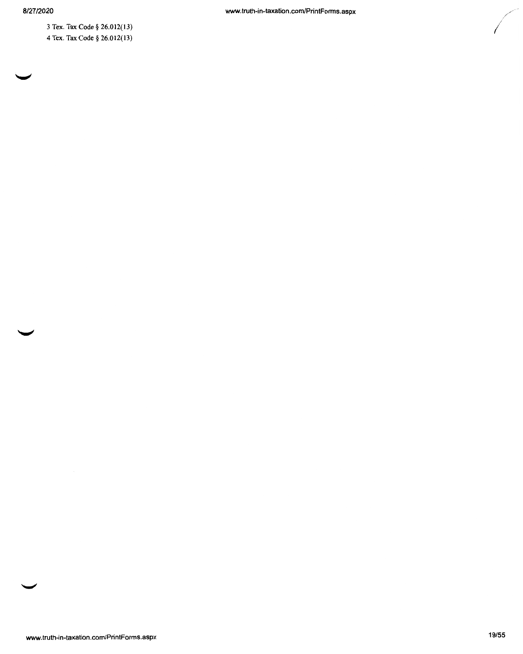3 Tex. Tax Code§ 26.012(13) 4 Tex. Tax Code § 26.012(13) */*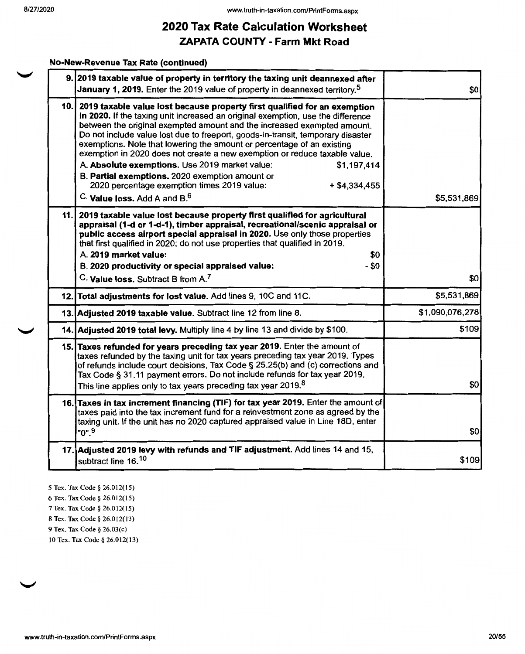#### **No-New-Revenue Tax Rate (continued)**

|      | 9. 2019 taxable value of property in territory the taxing unit deannexed after<br>January 1, 2019. Enter the 2019 value of property in deannexed territory. <sup>5</sup>                                                                                                                                                                                                                                                                                                                                                                                                                                                                                                                                     | \$0             |
|------|--------------------------------------------------------------------------------------------------------------------------------------------------------------------------------------------------------------------------------------------------------------------------------------------------------------------------------------------------------------------------------------------------------------------------------------------------------------------------------------------------------------------------------------------------------------------------------------------------------------------------------------------------------------------------------------------------------------|-----------------|
| 10.1 | 2019 taxable value lost because property first qualified for an exemption<br>in 2020. If the taxing unit increased an original exemption, use the difference<br>between the original exempted amount and the increased exempted amount.<br>Do not include value lost due to freeport, goods-in-transit, temporary disaster<br>exemptions. Note that lowering the amount or percentage of an existing<br>exemption in 2020 does not create a new exemption or reduce taxable value.<br>A. Absolute exemptions. Use 2019 market value:<br>\$1,197,414<br>B. Partial exemptions. 2020 exemption amount or<br>2020 percentage exemption times 2019 value:<br>$+$ \$4,334,455<br>C. Value loss, Add A and $B^{6}$ | \$5,531,869     |
| 11.1 | 2019 taxable value lost because property first qualified for agricultural<br>appraisal (1-d or 1-d-1), timber appraisal, recreational/scenic appraisal or<br>public access airport special appraisal in 2020. Use only those properties<br>that first qualified in 2020; do not use properties that qualified in 2019.<br>\$0<br>A. 2019 market value:<br>- \$0<br>B. 2020 productivity or special appraised value:<br>C. Value loss, Subtract B from A. <sup>7</sup>                                                                                                                                                                                                                                        | \$0             |
|      | 12. Total adjustments for lost value. Add lines 9, 10C and 11C.                                                                                                                                                                                                                                                                                                                                                                                                                                                                                                                                                                                                                                              | \$5,531,869     |
|      | 13. Adjusted 2019 taxable value. Subtract line 12 from line 8.                                                                                                                                                                                                                                                                                                                                                                                                                                                                                                                                                                                                                                               | \$1,090,076,278 |
|      | 14. Adjusted 2019 total levy. Multiply line 4 by line 13 and divide by \$100.                                                                                                                                                                                                                                                                                                                                                                                                                                                                                                                                                                                                                                | \$109           |
|      | 15. Taxes refunded for years preceding tax year 2019. Enter the amount of<br>taxes refunded by the taxing unit for tax years preceding tax year 2019. Types<br>of refunds include court decisions, Tax Code § 25.25(b) and (c) corrections and<br>Tax Code § 31.11 payment errors. Do not include refunds for tax year 2019.<br>This line applies only to tax years preceding tax year 2019. <sup>8</sup>                                                                                                                                                                                                                                                                                                    | \$0             |
|      | 16. Taxes in tax increment financing (TIF) for tax year 2019. Enter the amount of<br>taxes paid into the tax increment fund for a reinvestment zone as agreed by the<br>taxing unit. If the unit has no 2020 captured appraised value in Line 18D, enter<br>"9. "ס                                                                                                                                                                                                                                                                                                                                                                                                                                           | \$0             |
|      | 17. Adjusted 2019 levy with refunds and TIF adjustment. Add lines 14 and 15,<br>subtract line 16. <sup>10</sup>                                                                                                                                                                                                                                                                                                                                                                                                                                                                                                                                                                                              | \$109           |

*5* Tex. Tax Code§ 26.012(15) 6 Tex. Tax Code§ 26.012(15) 7 Tex. Tax Code§ 26.012(15) 8 Tex. Tax Code § 26.012(13) 9 Tex. Tax Code § 26.03(c) 10 Tex. Tax Code§ 26.012(13)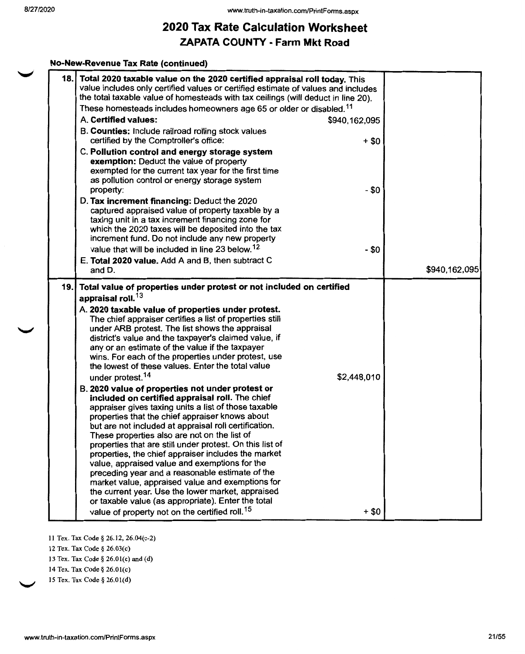#### **No-New-Revenue Tax Rate (continued)**

| 18. | Total 2020 taxable value on the 2020 certified appraisal roll today. This<br>value includes only certified values or certified estimate of values and includes<br>the total taxable value of homesteads with tax ceilings (will deduct in line 20).<br>These homesteads includes homeowners age 65 or older or disabled. <sup>11</sup>                                                                                                                                                                                                                                                                                                                                                                                                                                                                                                                                                                                                                                                                                                                                                                                                                                                                                                                                                                                |                        |               |
|-----|-----------------------------------------------------------------------------------------------------------------------------------------------------------------------------------------------------------------------------------------------------------------------------------------------------------------------------------------------------------------------------------------------------------------------------------------------------------------------------------------------------------------------------------------------------------------------------------------------------------------------------------------------------------------------------------------------------------------------------------------------------------------------------------------------------------------------------------------------------------------------------------------------------------------------------------------------------------------------------------------------------------------------------------------------------------------------------------------------------------------------------------------------------------------------------------------------------------------------------------------------------------------------------------------------------------------------|------------------------|---------------|
|     | A. Certified values:                                                                                                                                                                                                                                                                                                                                                                                                                                                                                                                                                                                                                                                                                                                                                                                                                                                                                                                                                                                                                                                                                                                                                                                                                                                                                                  | \$940,162,095          |               |
|     | B. Counties: Include railroad rolling stock values<br>certified by the Comptroller's office:                                                                                                                                                                                                                                                                                                                                                                                                                                                                                                                                                                                                                                                                                                                                                                                                                                                                                                                                                                                                                                                                                                                                                                                                                          | $+ $0$                 |               |
|     | C. Pollution control and energy storage system<br>exemption: Deduct the value of property<br>exempted for the current tax year for the first time<br>as pollution control or energy storage system<br>property:                                                                                                                                                                                                                                                                                                                                                                                                                                                                                                                                                                                                                                                                                                                                                                                                                                                                                                                                                                                                                                                                                                       | - \$0                  |               |
|     | D. Tax increment financing: Deduct the 2020<br>captured appraised value of property taxable by a<br>taxing unit in a tax increment financing zone for<br>which the 2020 taxes will be deposited into the tax<br>increment fund. Do not include any new property<br>value that will be included in line 23 below. <sup>12</sup>                                                                                                                                                                                                                                                                                                                                                                                                                                                                                                                                                                                                                                                                                                                                                                                                                                                                                                                                                                                        |                        |               |
|     |                                                                                                                                                                                                                                                                                                                                                                                                                                                                                                                                                                                                                                                                                                                                                                                                                                                                                                                                                                                                                                                                                                                                                                                                                                                                                                                       | $- $0$                 |               |
|     | E. Total 2020 value. Add A and B, then subtract C<br>and D.                                                                                                                                                                                                                                                                                                                                                                                                                                                                                                                                                                                                                                                                                                                                                                                                                                                                                                                                                                                                                                                                                                                                                                                                                                                           |                        | \$940,162,095 |
|     | 19. Total value of properties under protest or not included on certified<br>appraisal roll. <sup>13</sup><br>A. 2020 taxable value of properties under protest.<br>The chief appraiser certifies a list of properties still<br>under ARB protest. The list shows the appraisal<br>district's value and the taxpayer's claimed value, if<br>any or an estimate of the value if the taxpayer<br>wins. For each of the properties under protest, use<br>the lowest of these values. Enter the total value<br>under protest. <sup>14</sup><br>B. 2020 value of properties not under protest or<br>included on certified appraisal roll. The chief<br>appraiser gives taxing units a list of those taxable<br>properties that the chief appraiser knows about<br>but are not included at appraisal roll certification.<br>These properties also are not on the list of<br>properties that are still under protest. On this list of<br>properties, the chief appraiser includes the market<br>value, appraised value and exemptions for the<br>preceding year and a reasonable estimate of the<br>market value, appraised value and exemptions for<br>the current year. Use the lower market, appraised<br>or taxable value (as appropriate). Enter the total<br>value of property not on the certified roll. <sup>15</sup> | \$2,448,010<br>$+$ \$0 |               |

11 Tex. Tax Code§ 26.12, 26.04(c-2)

12 Tex. Tax Code§ 26.03(c)

13 Tex. Tax Code§ 26.01(c) and (d)

- 14 Tex. Tax Code§ 26.01(c)
- 15 Tex. Tax Code§ 26.01(d)

 $\checkmark$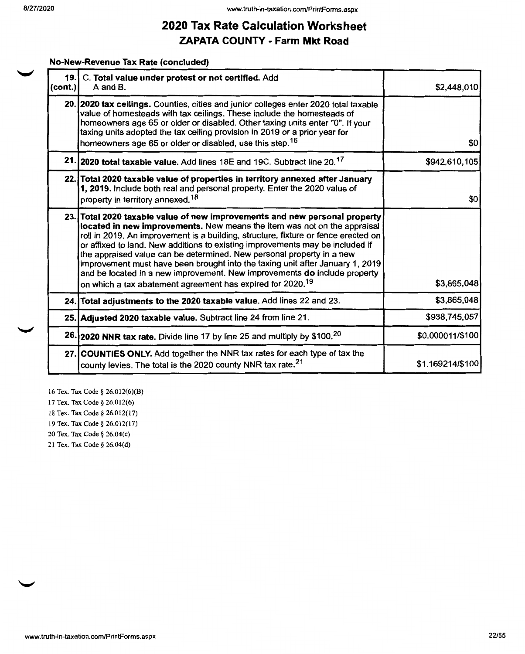**No-New-Revenue Tax Rate (concluded)** 

| (cont.) | 19. C. Total value under protest or not certified. Add<br>A and B.                                                                                                                                                                                                                                                                                                                                                                                                                                                                                                                                                                             | \$2,448,010      |
|---------|------------------------------------------------------------------------------------------------------------------------------------------------------------------------------------------------------------------------------------------------------------------------------------------------------------------------------------------------------------------------------------------------------------------------------------------------------------------------------------------------------------------------------------------------------------------------------------------------------------------------------------------------|------------------|
|         | 20. 2020 tax ceilings. Counties, cities and junior colleges enter 2020 total taxable<br>value of homesteads with tax ceilings. These include the homesteads of<br>homeowners age 65 or older or disabled. Other taxing units enter "0". If your<br>taxing units adopted the tax ceiling provision in 2019 or a prior year for<br>homeowners age 65 or older or disabled, use this step. <sup>16</sup>                                                                                                                                                                                                                                          | \$0              |
|         | 21. 2020 total taxable value. Add lines 18E and 19C. Subtract line 20. <sup>17</sup>                                                                                                                                                                                                                                                                                                                                                                                                                                                                                                                                                           | \$942,610,105    |
|         | 22. Total 2020 taxable value of properties in territory annexed after January<br>1, 2019. Include both real and personal property. Enter the 2020 value of<br>property in territory annexed. <sup>18</sup>                                                                                                                                                                                                                                                                                                                                                                                                                                     | \$0              |
|         | 23. Total 2020 taxable value of new improvements and new personal property<br>located in new improvements. New means the item was not on the appraisal<br>roll in 2019. An improvement is a building, structure, fixture or fence erected on<br>or affixed to land. New additions to existing improvements may be included if<br>the appraised value can be determined. New personal property in a new<br>improvement must have been brought into the taxing unit after January 1, 2019<br>and be located in a new improvement. New improvements do include property<br>on which a tax abatement agreement has expired for 2020. <sup>19</sup> | \$3,865,048      |
|         | 24. Total adjustments to the 2020 taxable value. Add lines 22 and 23.                                                                                                                                                                                                                                                                                                                                                                                                                                                                                                                                                                          | \$3,865,048      |
|         | 25. Adjusted 2020 taxable value. Subtract line 24 from line 21.                                                                                                                                                                                                                                                                                                                                                                                                                                                                                                                                                                                | \$938,745,057    |
|         | 26. 2020 NNR tax rate. Divide line 17 by line 25 and multiply by \$100. <sup>20</sup>                                                                                                                                                                                                                                                                                                                                                                                                                                                                                                                                                          | \$0.000011/\$100 |
|         | 27. COUNTIES ONLY. Add together the NNR tax rates for each type of tax the<br>county levies. The total is the 2020 county NNR tax rate. <sup>21</sup>                                                                                                                                                                                                                                                                                                                                                                                                                                                                                          | \$1.169214/\$100 |

16 Tex. Tax Code§ 26.0l2(6)(B)

17 Tex. Tax Code§ 26.012(6)

18 Tex. Tax Code§ 26.012(17)

19 Tex. Tax Code § 26.012(17)

20 Tex. Tax Code§ 26.04(c)

21 Tex. Tax Code§ 26.04(d)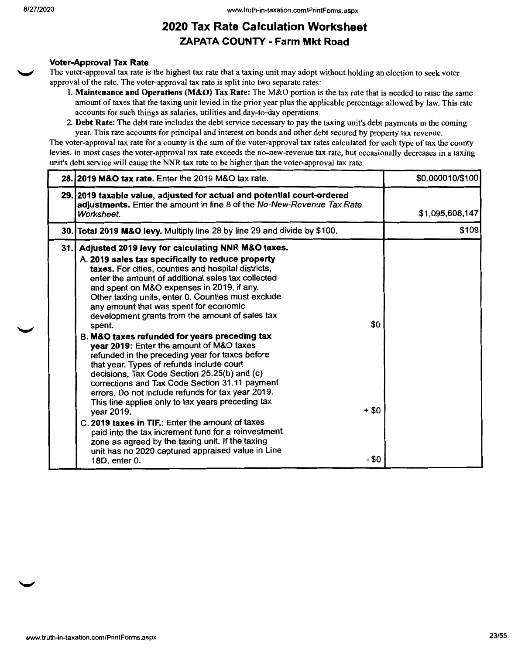#### **Voter-Approval Tax Rate**

The voter-approval tax rate is the highest tax rate that a taxing unit may adopt without holding an election to seek voter approval of the rate. The voter-approval tax rate is split into two separate rates:

- I. **Maintenance and Operations (M&O) Tax Rate:** The M&O portion is the tax rate that is needed to raise the same amount of taxes that the taxing unit levied in the prior year plus the applicable percentage allowed by law. This rate accounts for such things as salaries, utilities and day-to-day operations.
- 2. **Debt Rate:** The debt rate includes the debt service necessary to pay the taxing unit's debt payments in the coming year. This rate accounts for principal and interest on bonds and other debt secured by property tax revenue.

The voter-approval tax rate for a county is the sum of the voter-approval tax rates calculated for each type of tax the county levies. In most cases the voter-approval tax rate exceeds the no-new-revenue tax rate, but occasionally decreases in a taxing unit's debt service will cause the NNR tax rate to be higher than the voter-approval tax rate.

| 28.12019 M&O tax rate. Enter the 2019 M&O tax rate.                                                                                                                                                                                                                                                                                                                                                                                                                                                                                                                                                                                                                                                                                                                                                                                                                                                                                                                                                                                                                                                                       | \$0.000010/\$100 |
|---------------------------------------------------------------------------------------------------------------------------------------------------------------------------------------------------------------------------------------------------------------------------------------------------------------------------------------------------------------------------------------------------------------------------------------------------------------------------------------------------------------------------------------------------------------------------------------------------------------------------------------------------------------------------------------------------------------------------------------------------------------------------------------------------------------------------------------------------------------------------------------------------------------------------------------------------------------------------------------------------------------------------------------------------------------------------------------------------------------------------|------------------|
| 29. 2019 taxable value, adjusted for actual and potential court-ordered<br>adjustments. Enter the amount in line 8 of the No-New-Revenue Tax Rate<br>Worksheet.                                                                                                                                                                                                                                                                                                                                                                                                                                                                                                                                                                                                                                                                                                                                                                                                                                                                                                                                                           | \$1,095,608,147  |
| 30. Total 2019 M&O levy. Multiply line 28 by line 29 and divide by \$100.                                                                                                                                                                                                                                                                                                                                                                                                                                                                                                                                                                                                                                                                                                                                                                                                                                                                                                                                                                                                                                                 | \$109            |
| 31. Adjusted 2019 levy for calculating NNR M&O taxes.<br>A. 2019 sales tax specifically to reduce property<br>taxes. For cities, counties and hospital districts,<br>enter the amount of additional sales tax collected<br>and spent on M&O expenses in 2019, if any.<br>Other taxing units, enter 0. Counties must exclude<br>any amount that was spent for economic<br>development grants from the amount of sales tax<br>\$0<br>spent.<br>B. M&O taxes refunded for years preceding tax<br>year 2019: Enter the amount of M&O taxes<br>refunded in the preceding year for taxes before<br>that year. Types of refunds include court<br>decisions, Tax Code Section 25.25(b) and (c)<br>corrections and Tax Code Section 31.11 payment<br>errors. Do not include refunds for tax year 2019.<br>This line applies only to tax years preceding tax<br>$+$ \$0<br>vear 2019.<br>C. 2019 taxes in TIF.: Enter the amount of taxes<br>paid into the tax increment fund for a reinvestment<br>zone as agreed by the taxing unit. If the taxing<br>unit has no 2020 captured appraised value in Line<br>- \$0<br>18D, enter 0. |                  |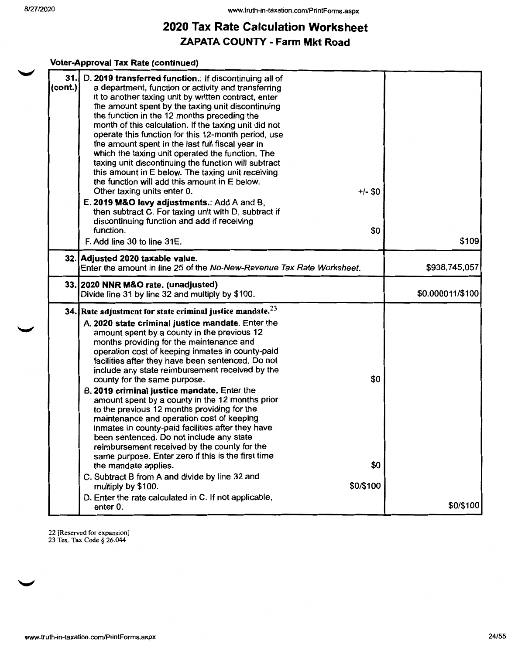#### **Voter-Approval Tax Rate (continued}**

| 31.<br>$($ cont. $) $ | D. 2019 transferred function.: If discontinuing all of<br>a department, function or activity and transferring<br>it to another taxing unit by written contract, enter<br>the amount spent by the taxing unit discontinuing<br>the function in the 12 months preceding the<br>month of this calculation. If the taxing unit did not<br>operate this function for this 12-month period, use<br>the amount spent in the last full fiscal year in<br>which the taxing unit operated the function. The<br>taxing unit discontinuing the function will subtract<br>this amount in E below. The taxing unit receiving<br>the function will add this amount in E below.<br>Other taxing units enter 0.<br>$+/-$ \$0<br>E. 2019 M&O levy adjustments.: Add A and B,<br>then subtract C. For taxing unit with D, subtract if<br>discontinuing function and add if receiving<br>function.<br>F. Add line 30 to line 31E.                                                                           | \$0<br>\$109     |
|-----------------------|-----------------------------------------------------------------------------------------------------------------------------------------------------------------------------------------------------------------------------------------------------------------------------------------------------------------------------------------------------------------------------------------------------------------------------------------------------------------------------------------------------------------------------------------------------------------------------------------------------------------------------------------------------------------------------------------------------------------------------------------------------------------------------------------------------------------------------------------------------------------------------------------------------------------------------------------------------------------------------------------|------------------|
|                       | 32. Adjusted 2020 taxable value.<br>Enter the amount in line 25 of the No-New-Revenue Tax Rate Worksheet.                                                                                                                                                                                                                                                                                                                                                                                                                                                                                                                                                                                                                                                                                                                                                                                                                                                                               | \$938,745,057    |
|                       | 33. 2020 NNR M&O rate. (unadjusted)<br>Divide line 31 by line 32 and multiply by \$100.                                                                                                                                                                                                                                                                                                                                                                                                                                                                                                                                                                                                                                                                                                                                                                                                                                                                                                 | \$0.000011/\$100 |
|                       | 34. [Rate adjustment for state criminal justice mandate. $^{23}$<br>A. 2020 state criminal justice mandate. Enter the<br>amount spent by a county in the previous 12<br>months providing for the maintenance and<br>operation cost of keeping inmates in county-paid<br>facilities after they have been sentenced. Do not<br>include any state reimbursement received by the<br>county for the same purpose.<br>B. 2019 criminal justice mandate. Enter the<br>amount spent by a county in the 12 months prior<br>to the previous 12 months providing for the<br>maintenance and operation cost of keeping<br>inmates in county-paid facilities after they have<br>been sentenced. Do not include any state<br>reimbursement received by the county for the<br>same purpose. Enter zero if this is the first time<br>the mandate applies.<br>C. Subtract B from A and divide by line 32 and<br>\$0/\$100<br>multiply by \$100.<br>D. Enter the rate calculated in C. If not applicable, | \$0<br>\$0       |
|                       | enter 0.                                                                                                                                                                                                                                                                                                                                                                                                                                                                                                                                                                                                                                                                                                                                                                                                                                                                                                                                                                                | \$0/\$100        |

22 [Reserved for expansion] 23 Tex. Tax Code § 26.044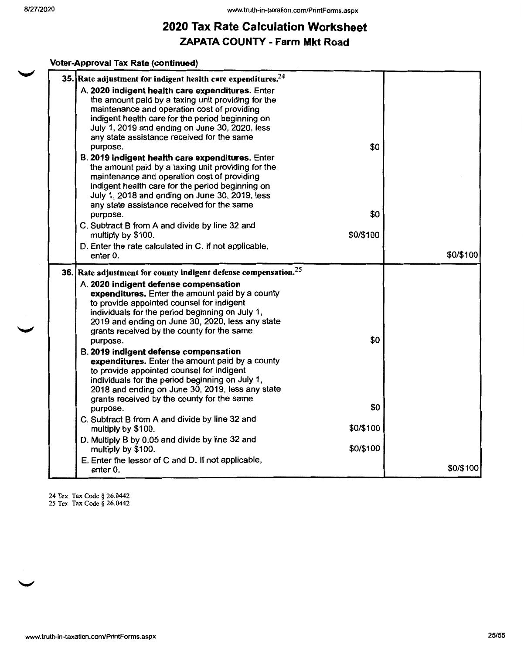#### **Voter-Approval Tax Rate {continued)**

| 35. Rate adjustment for indigent health care expenditures. $^{24}$                                                                                                                                                                                                                                                                                                                                                                                                                                                                                                                                                                                                                  |           |           |
|-------------------------------------------------------------------------------------------------------------------------------------------------------------------------------------------------------------------------------------------------------------------------------------------------------------------------------------------------------------------------------------------------------------------------------------------------------------------------------------------------------------------------------------------------------------------------------------------------------------------------------------------------------------------------------------|-----------|-----------|
| A. 2020 indigent health care expenditures. Enter<br>the amount paid by a taxing unit providing for the<br>maintenance and operation cost of providing<br>indigent health care for the period beginning on<br>July 1, 2019 and ending on June 30, 2020, less<br>any state assistance received for the same<br>purpose.<br>B. 2019 indigent health care expenditures. Enter<br>the amount paid by a taxing unit providing for the<br>maintenance and operation cost of providing<br>indigent health care for the period beginning on                                                                                                                                                  | \$0       |           |
| July 1, 2018 and ending on June 30, 2019, less                                                                                                                                                                                                                                                                                                                                                                                                                                                                                                                                                                                                                                      |           |           |
| any state assistance received for the same<br>purpose.                                                                                                                                                                                                                                                                                                                                                                                                                                                                                                                                                                                                                              | \$0       |           |
| C. Subtract B from A and divide by line 32 and<br>multiply by \$100.                                                                                                                                                                                                                                                                                                                                                                                                                                                                                                                                                                                                                | \$0/\$100 |           |
| D. Enter the rate calculated in C. If not applicable,<br>enter 0.                                                                                                                                                                                                                                                                                                                                                                                                                                                                                                                                                                                                                   |           | \$0/\$100 |
| 36. Rate adjustment for county indigent defense compensation. <sup>25</sup><br>A. 2020 indigent defense compensation<br>expenditures. Enter the amount paid by a county<br>to provide appointed counsel for indigent<br>individuals for the period beginning on July 1,<br>2019 and ending on June 30, 2020, less any state<br>grants received by the county for the same<br>purpose.<br>B. 2019 indigent defense compensation<br>expenditures. Enter the amount paid by a county<br>to provide appointed counsel for indigent<br>individuals for the period beginning on July 1,<br>2018 and ending on June 30, 2019, less any state<br>grants received by the county for the same | \$0       |           |
| purpose.<br>C. Subtract B from A and divide by line 32 and                                                                                                                                                                                                                                                                                                                                                                                                                                                                                                                                                                                                                          | \$0       |           |
| multiply by \$100.                                                                                                                                                                                                                                                                                                                                                                                                                                                                                                                                                                                                                                                                  | \$0/\$100 |           |
| D. Multiply B by 0.05 and divide by line 32 and<br>multiply by \$100.                                                                                                                                                                                                                                                                                                                                                                                                                                                                                                                                                                                                               | \$0/\$100 |           |
| E. Enter the lessor of C and D. If not applicable,<br>enter 0.                                                                                                                                                                                                                                                                                                                                                                                                                                                                                                                                                                                                                      |           | \$0/\$100 |

24 Tex. Tax Code § 26.0442 25 Tex. Tax Code § 26.0442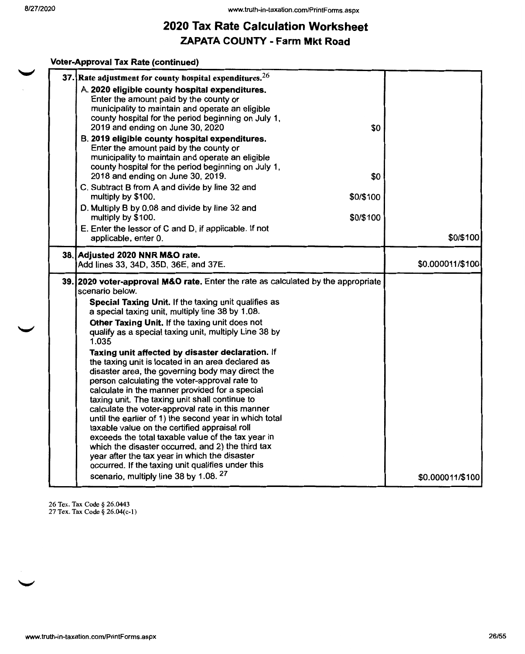#### **Voter-Approval Tax Rate (continued)**

|                  |           | 37. Rate adjustment for county hospital expenditures. $26$                                                                                                                                                                                                   |
|------------------|-----------|--------------------------------------------------------------------------------------------------------------------------------------------------------------------------------------------------------------------------------------------------------------|
|                  | \$0       | A. 2020 eligible county hospital expenditures.<br>Enter the amount paid by the county or<br>municipality to maintain and operate an eligible<br>county hospital for the period beginning on July 1,<br>2019 and ending on June 30, 2020                      |
|                  | \$0       | B. 2019 eligible county hospital expenditures.<br>Enter the amount paid by the county or<br>municipality to maintain and operate an eligible<br>county hospital for the period beginning on July 1,<br>2018 and ending on June 30, 2019.                     |
|                  | \$0/\$100 | C. Subtract B from A and divide by line 32 and<br>multiply by \$100.                                                                                                                                                                                         |
|                  | \$0/\$100 | D. Multiply B by 0.08 and divide by line 32 and<br>multiply by \$100.                                                                                                                                                                                        |
| \$0/\$100        |           | E. Enter the lessor of C and D, if applicable. If not<br>applicable, enter 0.                                                                                                                                                                                |
| \$0.000011/\$100 |           | 38. Adjusted 2020 NNR M&O rate.<br>Add lines 33, 34D, 35D, 36E, and 37E.                                                                                                                                                                                     |
|                  |           |                                                                                                                                                                                                                                                              |
|                  |           | 39. 2020 voter-approval M&O rate. Enter the rate as calculated by the appropriate<br>scenario below.                                                                                                                                                         |
|                  |           | Special Taxing Unit. If the taxing unit qualifies as<br>a special taxing unit, multiply line 38 by 1.08.                                                                                                                                                     |
|                  |           | Other Taxing Unit. If the taxing unit does not<br>qualify as a special taxing unit, multiply Line 38 by<br>1.035                                                                                                                                             |
|                  |           | Taxing unit affected by disaster declaration. If<br>the taxing unit is located in an area declared as<br>disaster area, the governing body may direct the<br>person calculating the voter-approval rate to<br>calculate in the manner provided for a special |
|                  |           | taxing unit. The taxing unit shall continue to<br>calculate the voter-approval rate in this manner<br>until the earlier of 1) the second year in which total<br>taxable value on the certified appraisal roll                                                |
|                  |           | exceeds the total taxable value of the tax year in<br>which the disaster occurred, and 2) the third tax<br>year after the tax year in which the disaster<br>occurred. If the taxing unit qualifies under this                                                |

26 Tex. Tax Code § 26.0443 27 Tex. Tax Code§ 26.04(c-l)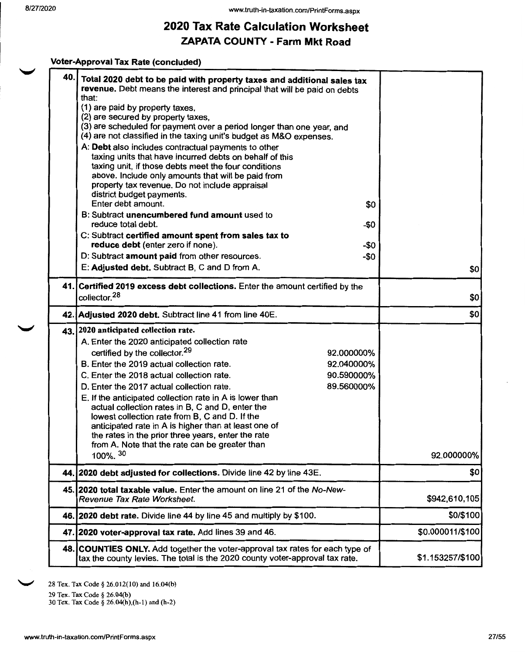# **2020 Tax Rate Calculation Worksheet**

**ZAPATA COUNTY-Farm Mkt Road** 

**Voter-Approval Tax Rate (concluded)** 

|      | 48. COUNTIES ONLY. Add together the voter-approval tax rates for each type of<br>tax the county levies. The total is the 2020 county voter-approval tax rate.                                                                                                                                                                                                                                                                                                                                                                                                                                                                                                                                                                                                                                                                                                                                    | \$1.153257/\$100  |
|------|--------------------------------------------------------------------------------------------------------------------------------------------------------------------------------------------------------------------------------------------------------------------------------------------------------------------------------------------------------------------------------------------------------------------------------------------------------------------------------------------------------------------------------------------------------------------------------------------------------------------------------------------------------------------------------------------------------------------------------------------------------------------------------------------------------------------------------------------------------------------------------------------------|-------------------|
|      | 47. 2020 voter-approval tax rate. Add lines 39 and 46.                                                                                                                                                                                                                                                                                                                                                                                                                                                                                                                                                                                                                                                                                                                                                                                                                                           | \$0.000011/\$100  |
|      | 46. 2020 debt rate. Divide line 44 by line 45 and multiply by \$100.                                                                                                                                                                                                                                                                                                                                                                                                                                                                                                                                                                                                                                                                                                                                                                                                                             | \$0/\$100         |
|      | 45. 2020 total taxable value. Enter the amount on line 21 of the No-New-<br>Revenue Tax Rate Worksheet.                                                                                                                                                                                                                                                                                                                                                                                                                                                                                                                                                                                                                                                                                                                                                                                          | \$942,610,105     |
|      | 44. 2020 debt adjusted for collections. Divide line 42 by line 43E.                                                                                                                                                                                                                                                                                                                                                                                                                                                                                                                                                                                                                                                                                                                                                                                                                              | \$0               |
|      | 42. Adjusted 2020 debt. Subtract line 41 from line 40E.<br>43. 2020 anticipated collection rate.<br>A. Enter the 2020 anticipated collection rate<br>certified by the collector. <sup>29</sup><br>92.000000%<br>92.040000%<br>B. Enter the 2019 actual collection rate.<br>90.590000%<br>C. Enter the 2018 actual collection rate.<br>89.560000%<br>D. Enter the 2017 actual collection rate.<br>E. If the anticipated collection rate in A is lower than<br>actual collection rates in B, C and D, enter the<br>lowest collection rate from B, C and D. If the<br>anticipated rate in A is higher than at least one of<br>the rates in the prior three years, enter the rate<br>from A. Note that the rate can be greater than<br>100%. 30                                                                                                                                                      | \$0<br>92.000000% |
| 41.I | (3) are scheduled for payment over a period longer than one year, and<br>(4) are not classified in the taxing unit's budget as M&O expenses.<br>A: Debt also includes contractual payments to other<br>taxing units that have incurred debts on behalf of this<br>taxing unit, if those debts meet the four conditions<br>above. Include only amounts that will be paid from<br>property tax revenue. Do not include appraisal<br>district budget payments.<br>Enter debt amount.<br>\$0<br>B: Subtract unencumbered fund amount used to<br>reduce total debt.<br>-\$0<br>C: Subtract certified amount spent from sales tax to<br>reduce debt (enter zero if none).<br>$-50$<br>D: Subtract amount paid from other resources.<br>$-50$<br>E: Adjusted debt. Subtract B, C and D from A.<br>Certified 2019 excess debt collections. Enter the amount certified by the<br>collector. <sup>28</sup> | \$0<br>\$0        |
| 40.  | Total 2020 debt to be paid with property taxes and additional sales tax<br>revenue. Debt means the interest and principal that will be paid on debts<br>that:<br>(1) are paid by property taxes,<br>(2) are secured by property taxes,                                                                                                                                                                                                                                                                                                                                                                                                                                                                                                                                                                                                                                                           |                   |

28 Tex. Tax Code § 26.012(10) and 16.04(b) 29 Tex. Tax Code§ 26.04(b) 30 Tex. Tax Code§ 26.04(h),(h-l} and (h-2)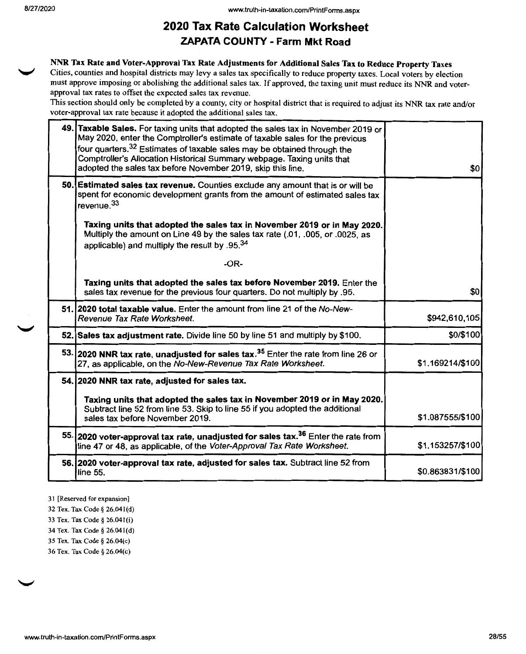#### **NNR Tax Rate and Voter-Approval Tax Rate Adjustments for Additional Sales Tax to Reduce Property Taxes**

Cities, counties and hospital districts may levy a sales tax specifically to reduce property taxes. Local voters by election must approve imposing or abolishing the additional sales tax. If approved, the taxing unit must reduce its NNR and voterapproval tax rates to offset the expected sales tax revenue.

This section should only be completed by a county, city or hospital district that is required to adjust its NNR tax rate and/or voter-approval tax rate because it adopted the additional sales tax.

| 49. Taxable Sales. For taxing units that adopted the sales tax in November 2019 or<br>May 2020, enter the Comptroller's estimate of taxable sales for the previous<br>four quarters. <sup>32</sup> Estimates of taxable sales may be obtained through the<br>Comptroller's Allocation Historical Summary webpage. Taxing units that<br>adopted the sales tax before November 2019, skip this line. | \$0              |
|----------------------------------------------------------------------------------------------------------------------------------------------------------------------------------------------------------------------------------------------------------------------------------------------------------------------------------------------------------------------------------------------------|------------------|
| 50. Estimated sales tax revenue. Counties exclude any amount that is or will be<br>spent for economic development grants from the amount of estimated sales tax<br>revenue. <sup>33</sup>                                                                                                                                                                                                          |                  |
| Taxing units that adopted the sales tax in November 2019 or in May 2020.<br>Multiply the amount on Line 49 by the sales tax rate (.01, .005, or .0025, as<br>applicable) and multiply the result by .95.34                                                                                                                                                                                         |                  |
| $-OR-$                                                                                                                                                                                                                                                                                                                                                                                             |                  |
| Taxing units that adopted the sales tax before November 2019. Enter the<br>sales tax revenue for the previous four quarters. Do not multiply by .95.                                                                                                                                                                                                                                               | \$0              |
| 51.12020 total taxable value. Enter the amount from line 21 of the No-New-<br>Revenue Tax Rate Worksheet.                                                                                                                                                                                                                                                                                          | \$942,610,105    |
| 52. Sales tax adjustment rate. Divide line 50 by line 51 and multiply by \$100.                                                                                                                                                                                                                                                                                                                    | \$0/\$100        |
| 53. 2020 NNR tax rate, unadjusted for sales tax. <sup>35</sup> Enter the rate from line 26 or<br>27, as applicable, on the No-New-Revenue Tax Rate Worksheet.                                                                                                                                                                                                                                      | \$1.169214/\$100 |
| 54. 2020 NNR tax rate, adjusted for sales tax.                                                                                                                                                                                                                                                                                                                                                     |                  |
| Taxing units that adopted the sales tax in November 2019 or in May 2020.<br>Subtract line 52 from line 53. Skip to line 55 if you adopted the additional<br>sales tax before November 2019.                                                                                                                                                                                                        | \$1.087555/\$100 |
| 55. 2020 voter-approval tax rate, unadjusted for sales tax. <sup>36</sup> Enter the rate from<br>line 47 or 48, as applicable, of the Voter-Approval Tax Rate Worksheet.                                                                                                                                                                                                                           | \$1.153257/\$100 |
| 56. 2020 voter-approval tax rate, adjusted for sales tax. Subtract line 52 from<br>line 55.                                                                                                                                                                                                                                                                                                        | \$0.863831/\$100 |

31 [Reserved for expansion]

32 Tex. Tax Code§ 26.041(d)

33 Tex. Tax Code§ 26.041(i)

34 Tex. Tax Code§ 26.04l(d)

35 Tex. Tax Code§ 26.04(c)

36 Tex. Tax Code§ 26.04(c)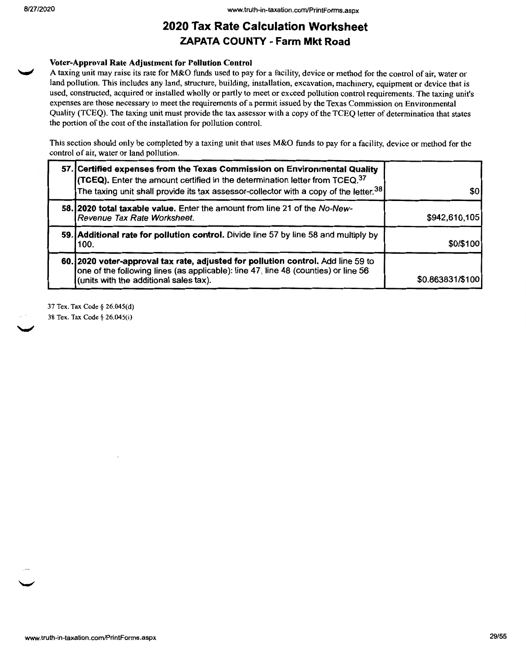#### **Voter-Approval Rate Adjustment for Pollution Control**

*"-1,I* A taxing unit may raise its rate for M&O funds used to pay for a facility, device or method for the control of air, water or land pollution. This includes any land, structure, building, installation, excavation, machinery, equipment or device that is used, constructed, acquired or installed wholly or partly to meet or exceed pollution control requirements. The taxing unit's expenses are those necessary to meet the requirements of a permit issued by the Texas Commission on Environmental Quality (TCEQ). The taxing unit must provide the tax assessor with a copy of the TCEQ letter of determination that states the portion of the cost of the installation for pollution control.

This section should only be completed by a taxing unit that uses M&O funds to pay for a facility, device or method for the control of air, water or land pollution.

| 57. Certified expenses from the Texas Commission on Environmental Quality<br>(TCEQ). Enter the amount certified in the determination letter from TCEQ. <sup>37</sup><br>The taxing unit shall provide its tax assessor-collector with a copy of the letter. <sup>38</sup> | \$0              |
|---------------------------------------------------------------------------------------------------------------------------------------------------------------------------------------------------------------------------------------------------------------------------|------------------|
| 58.12020 total taxable value. Enter the amount from line 21 of the No-New-<br>Revenue Tax Rate Worksheet.                                                                                                                                                                 | \$942,610,105    |
| 59. Additional rate for pollution control. Divide line 57 by line 58 and multiply by<br>100.                                                                                                                                                                              | \$0/\$100        |
| 60. 2020 voter-approval tax rate, adjusted for pollution control. Add line 59 to<br>one of the following lines (as applicable): line 47, line 48 (counties) or line 56<br>(units with the additional sales tax).                                                          | \$0.863831/\$100 |

37 Tex. Tax Code§ 26.045(d) 38 Tex. Tax Code § 26.045(i)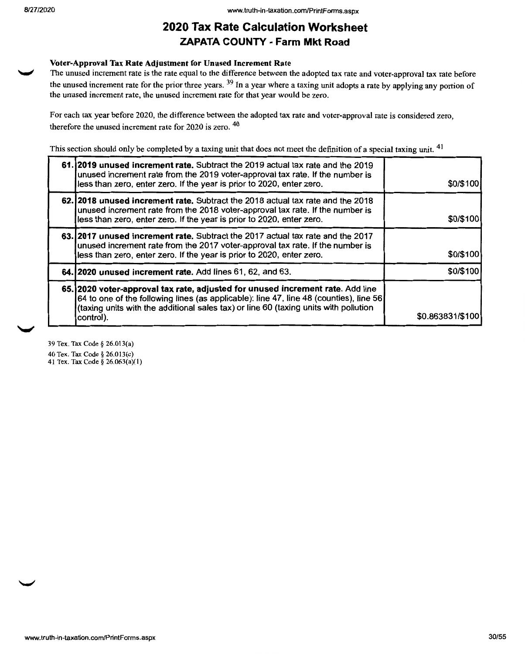#### **Voter-Approval Tax Rate Adjustment for Unused Increment Rate**

The unused increment rate is the rate equal to the difference between the adopted tax rate and voter-approval tax rate before the unused increment rate for the prior three years. 39 In a year where a taxing unit adopts a rate by applying any portion of the unused increment rate, the unused increment rate for that year would be zero.

For each tax year before 2020, the difference between the adopted tax rate and voter-approval rate is considered zero, therefore the unused increment rate for 2020 is zero. <sup>40</sup>

This section should only be completed by a taxing unit that does not meet the definition of a special taxing unit. <sup>41</sup>

| 61.2019 unused increment rate. Subtract the 2019 actual tax rate and the 2019<br>unused increment rate from the 2019 voter-approval tax rate. If the number is<br>less than zero, enter zero. If the year is prior to 2020, enter zero.                                       | \$0/\$100        |
|-------------------------------------------------------------------------------------------------------------------------------------------------------------------------------------------------------------------------------------------------------------------------------|------------------|
| 62.2018 unused increment rate. Subtract the 2018 actual tax rate and the 2018<br>unused increment rate from the 2018 voter-approval tax rate. If the number is<br>less than zero, enter zero. If the year is prior to 2020, enter zero.                                       | \$0/\$100        |
| 63.12017 unused increment rate. Subtract the 2017 actual tax rate and the 2017<br>unused increment rate from the 2017 voter-approval tax rate. If the number is<br>less than zero, enter zero. If the year is prior to 2020, enter zero.                                      | \$0/\$100        |
| 64. 2020 unused increment rate. Add lines 61, 62, and 63.                                                                                                                                                                                                                     | \$0/\$100        |
| 65. 2020 voter-approval tax rate, adjusted for unused increment rate. Add line<br>64 to one of the following lines (as applicable): line 47, line 48 (counties), line 56<br>(taxing units with the additional sales tax) or line 60 (taxing units with pollution<br>control). | \$0.863831/\$100 |

39 Tex. Tax Code§ 26.013(a) 40 Tex. Tax Code§ 26.013(c) 41 Tex. Tax Code§ 26.063(a)(1)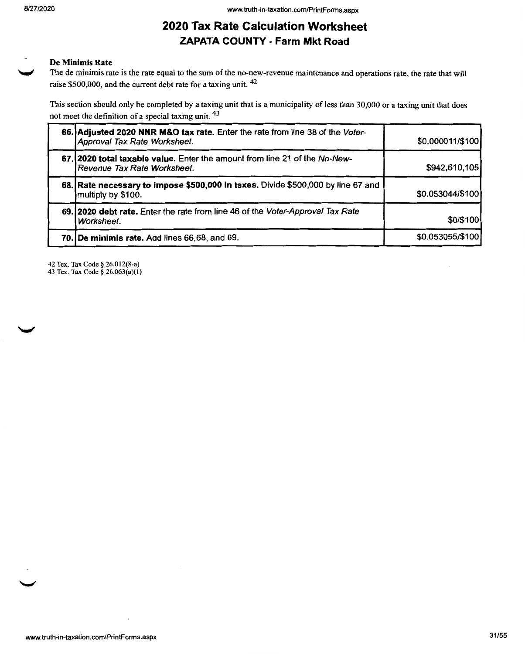#### **De Minimis Rate**

The de minimis rate is the rate equal to the sum of the no-new-revenue maintenance and operations rate, the rate that will raise \$500,000, and the current debt rate for a taxing unit. <sup>42</sup>

This section should only be completed by a taxing unit that is a municipality of less than 30,000 or a taxing unit that does not meet the definition of a special taxing unit. <sup>43</sup>

| 66. Adjusted 2020 NNR M&O tax rate. Enter the rate from line 38 of the Voter-<br>Approval Tax Rate Worksheet. | \$0.000011/\$100 |
|---------------------------------------------------------------------------------------------------------------|------------------|
| 67.12020 total taxable value. Enter the amount from line 21 of the No-New-<br>Revenue Tax Rate Worksheet.     | \$942,610,105    |
| 68. Rate necessary to impose \$500,000 in taxes. Divide \$500,000 by line 67 and<br>multiply by \$100.        | \$0.053044/\$100 |
| 69. 2020 debt rate. Enter the rate from line 46 of the Voter-Approval Tax Rate<br>Worksheet.                  | \$0/\$100        |
| 70. De minimis rate. Add lines 66,68, and 69.                                                                 | \$0.053055/\$100 |

42 Tex. Tax Code§ 26.012(8-a) 43 Tex. Tax Code§ 26.063(a)(l)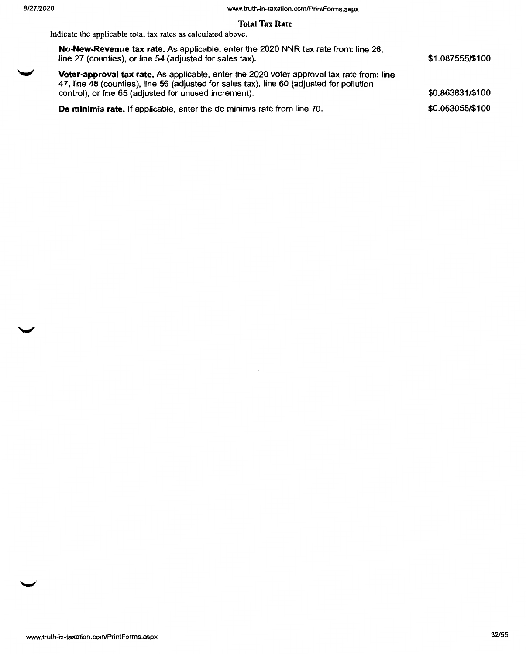**Total Tax Rate** 

Indicate the applicable total tax rates as calculated above.

| No-New-Revenue tax rate. As applicable, enter the 2020 NNR tax rate from: line 26,<br>line 27 (counties), or line 54 (adjusted for sales tax).                                                                                                         | \$1.087555/\$100 |
|--------------------------------------------------------------------------------------------------------------------------------------------------------------------------------------------------------------------------------------------------------|------------------|
| <b>Voter-approval tax rate.</b> As applicable, enter the 2020 voter-approval tax rate from: line<br>47, line 48 (counties), line 56 (adjusted for sales tax), line 60 (adjusted for pollution<br>control), or line 65 (adjusted for unused increment). | \$0.863831/\$100 |
| De minimis rate. If applicable, enter the de minimis rate from line 70.                                                                                                                                                                                | \$0.053055/\$100 |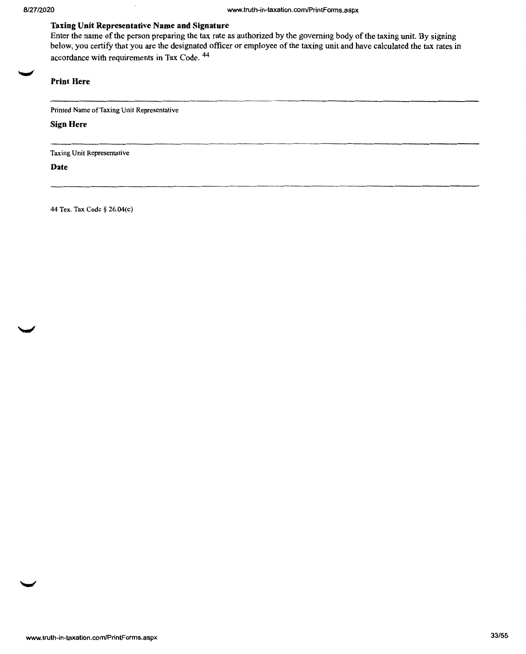#### **Taxing Unit Representative Name and Signature**

Enter the name of the person preparing the tax rate as authorized by the governing body of the taxing unit. By signing below, you certify that you are the designated officer or employee of the taxing unit and have calculated the tax rates in accordance with requirements in Tax Code. <sup>44</sup>

#### **Print Here**

Printed Name of Taxing Unit Representative

#### **Sign Here**

Taxing Unit Representative

**Date** 

44 Tex. Tax Code§ 26.04(c)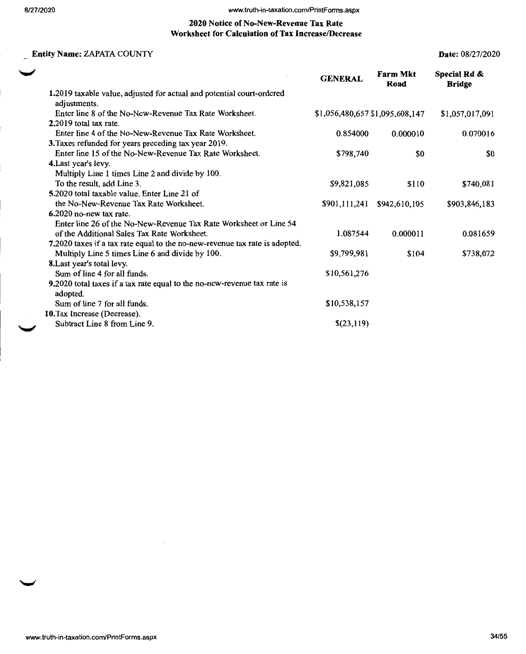#### www.truth-in-taxation.com/PrintForms.aspx

#### **2020 Notice of No-New-Revenue Tax Rate Worksheet for Calculation of Tax Increase/Decrease**

### **Entity Name:** ZAPATA COUNTY

**Date:** 08/27/2020

|                                                                                       | <b>GENERAL</b>                  | <b>Farm Mkt</b><br>Road | Special Rd &<br><b>Bridge</b> |
|---------------------------------------------------------------------------------------|---------------------------------|-------------------------|-------------------------------|
| 1.2019 taxable value, adjusted for actual and potential court-ordered<br>adjustments. |                                 |                         |                               |
| Enter line 8 of the No-New-Revenue Tax Rate Worksheet.                                | \$1,056,480,657 \$1,095,608,147 |                         | \$1,057,017,091               |
| 2.2019 total tax rate.                                                                |                                 |                         |                               |
| Enter line 4 of the No-New-Revenue Tax Rate Worksheet.                                | 0.854000                        | 0.000010                | 0.070016                      |
| 3. Taxes refunded for years preceding tax year 2019.                                  |                                 |                         |                               |
| Enter line 15 of the No-New-Revenue Tax Rate Worksheet.                               | \$798,740                       | \$0                     | \$0                           |
| 4. Last year's levy.                                                                  |                                 |                         |                               |
| Multiply Line 1 times Line 2 and divide by 100.                                       |                                 |                         |                               |
| To the result, add Line 3.                                                            | \$9,821,085                     | \$110                   | \$740,081                     |
| 5.2020 total taxable value. Enter Line 21 of                                          |                                 |                         |                               |
| the No-New-Revenue Tax Rate Worksheet.                                                | \$901,111,241                   | \$942,610,105           | \$903,846,183                 |
| 6.2020 no-new tax rate.                                                               |                                 |                         |                               |
| Enter line 26 of the No-New-Revenue Tax Rate Worksheet or Line 54                     |                                 |                         |                               |
| of the Additional Sales Tax Rate Worksheet.                                           | 1.087544                        | 0.000011                | 0.081659                      |
| 7.2020 taxes if a tax rate equal to the no-new-revenue tax rate is adopted.           |                                 |                         |                               |
| Multiply Line 5 times Line 6 and divide by 100.                                       | \$9,799,981                     | \$104                   | \$738,072                     |
| 8. Last year's total levy.                                                            |                                 |                         |                               |
| Sum of line 4 for all funds.                                                          | \$10,561,276                    |                         |                               |
| 9.2020 total taxes if a tax rate equal to the no-new-revenue tax rate is<br>adopted.  |                                 |                         |                               |
| Sum of line 7 for all funds.                                                          | \$10,538,157                    |                         |                               |
| 10. Tax Increase (Decrease).                                                          |                                 |                         |                               |
| Subtract Line 8 from Line 9.                                                          | \$(23,119)                      |                         |                               |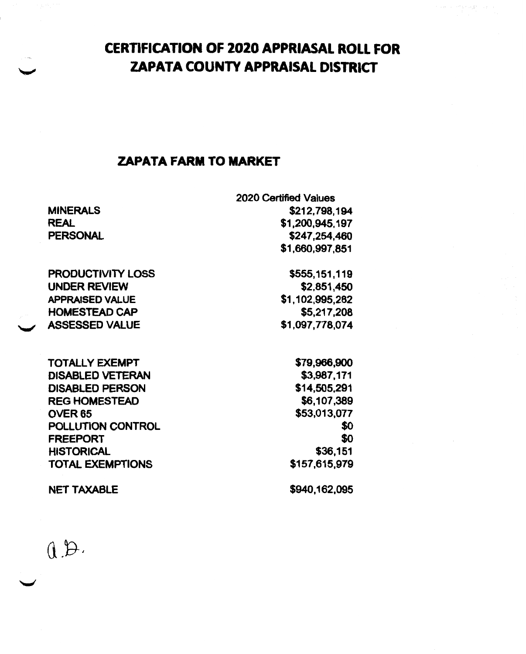## **CERTIFICATION OF 2020 APPRIASAL ROLL FOR ZAPATA COUNTY APPRAISAL DISTRICT**

### **ZAPATA FARM** TO **MARKET**

—<br>↓ → PRODUCTIVITY LOSS \$555,151,119 UNDER REVIEW \$2,851,450 APPRAISED VALUE \$1,102,995,282 HOMESTEAD CAP \$5,217,208 ASSESSED VALUE \$1,097,778,074

TOTALLY EXEMPT \$79,966,900 DISABLED VETERAN \$3,987,171 DISABLED PERSON \$14,505,291 REG HOMESTEAD \$6,107,389 OVER 65 \$53,013,077 POLLUTION CONTROL 50 FREEPORT SO HISTORICAL \$36,151 TOTAL EXEMPTIONS \$157,615,979

2020 Certified Values MINERALS \$212,798,194 REAL \$1,200,945,197 PERSONAL \$247,254,460 \$1,660,997,851

NET TAXABLE \$940,162,095

 $(1.5)$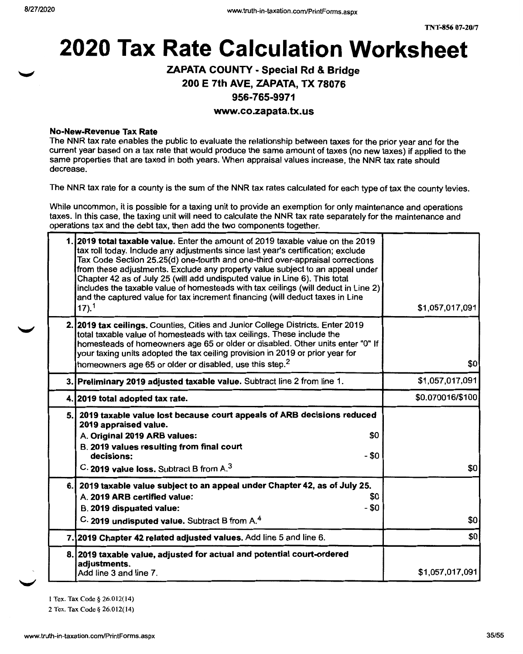# **2020 Tax Rate Calculation Worksheet**

## **ZAPATA COUNTY** - **Special Rd** & **Bridge**

### **200 E 7th AVE, ZAPATA, TX 78076**

#### **956-765-9971**

#### **www.co.zapata.tx.us**

#### **No-New-Revenue Tax Rate**

The NNR tax rate enables the public to evaluate the relationship between taxes for the prior year and for the current year based on a tax rate that would produce the same amount of taxes (no new taxes) if applied to the same properties that are taxed in both years. When appraisal values increase, the NNR tax rate should decrease.

The NNR tax rate for a county is the sum of the NNR tax rates calculated for each type of tax the county levies.

While uncommon, it is possible for a taxing unit to provide an exemption for only maintenance and operations taxes. In this case, the taxing unit will need to calculate the NNR tax rate separately for the maintenance and operations tax and the debt tax, then add the two components together.

| 1.12019 total taxable value. Enter the amount of 2019 taxable value on the 2019<br>tax roll today. Include any adjustments since last year's certification; exclude<br>Tax Code Section 25.25(d) one-fourth and one-third over-appraisal corrections<br>from these adjustments. Exclude any property value subject to an appeal under<br>Chapter 42 as of July 25 (will add undisputed value in Line 6). This total<br>includes the taxable value of homesteads with tax ceilings (will deduct in Line 2)<br>and the captured value for tax increment financing (will deduct taxes in Line<br>$17)$ , $1$ | \$1,057,017,091  |
|-----------------------------------------------------------------------------------------------------------------------------------------------------------------------------------------------------------------------------------------------------------------------------------------------------------------------------------------------------------------------------------------------------------------------------------------------------------------------------------------------------------------------------------------------------------------------------------------------------------|------------------|
| 2. 2019 tax ceilings. Counties, Cities and Junior College Districts. Enter 2019<br>total taxable value of homesteads with tax ceilings. These include the<br>homesteads of homeowners age 65 or older or disabled. Other units enter "0" If                                                                                                                                                                                                                                                                                                                                                               |                  |
| your taxing units adopted the tax ceiling provision in 2019 or prior year for<br>homeowners age 65 or older or disabled, use this step. <sup>2</sup>                                                                                                                                                                                                                                                                                                                                                                                                                                                      | \$0              |
| 3. Preliminary 2019 adjusted taxable value. Subtract line 2 from line 1.                                                                                                                                                                                                                                                                                                                                                                                                                                                                                                                                  | \$1,057,017,091  |
| 4. 2019 total adopted tax rate.                                                                                                                                                                                                                                                                                                                                                                                                                                                                                                                                                                           | \$0.070016/\$100 |
| 5.] 2019 taxable value lost because court appeals of ARB decisions reduced<br>2019 appraised value.<br>\$0<br>A. Original 2019 ARB values:<br>B. 2019 values resulting from final court<br>- \$0<br>decisions:<br>C. 2019 value loss. Subtract B from A. <sup>3</sup>                                                                                                                                                                                                                                                                                                                                     | \$0              |
| 6. 2019 taxable value subject to an appeal under Chapter 42, as of July 25.<br>\$0<br>A. 2019 ARB certified value:<br>$-$ \$0<br>B. 2019 dispuated value:<br>C. 2019 undisputed value. Subtract B from A. <sup>4</sup>                                                                                                                                                                                                                                                                                                                                                                                    | \$0              |
| 7. 2019 Chapter 42 related adjusted values. Add line 5 and line 6.                                                                                                                                                                                                                                                                                                                                                                                                                                                                                                                                        | \$0              |
| 8. 2019 taxable value, adjusted for actual and potential court-ordered<br>adjustments.<br>Add line 3 and line 7.                                                                                                                                                                                                                                                                                                                                                                                                                                                                                          | \$1,057,017,091  |

I Tex. Tax Code§ 26.012(14)

2 Tex. Tax Code§ 26.012(14)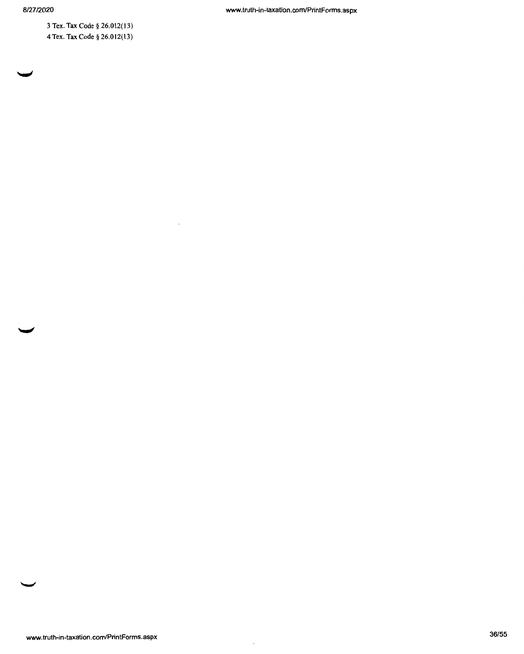www.truth-in-taxation.com/PrintForms.aspx

3 Tex. Tax Code§ 26.012(13) 4 Tex. Tax Code§ 26.012(13)

 $\sim$ 

 $\cdot$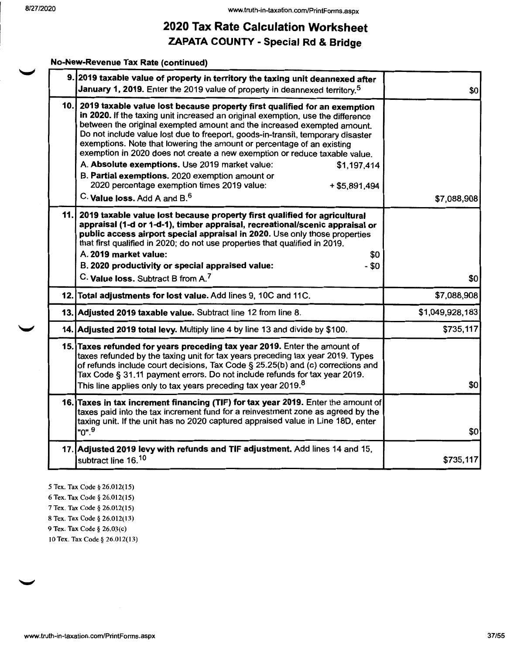### **No-New-Revenue Tax Rate (continued}**

|     | 9. 2019 taxable value of property in territory the taxing unit deannexed after<br>January 1, 2019. Enter the 2019 value of property in deannexed territory. <sup>5</sup>                                                                                                                                                                                                                                                                                                                                                                                                                                                                                                                                                 | \$0             |
|-----|--------------------------------------------------------------------------------------------------------------------------------------------------------------------------------------------------------------------------------------------------------------------------------------------------------------------------------------------------------------------------------------------------------------------------------------------------------------------------------------------------------------------------------------------------------------------------------------------------------------------------------------------------------------------------------------------------------------------------|-----------------|
|     | 10. 2019 taxable value lost because property first qualified for an exemption<br>in 2020. If the taxing unit increased an original exemption, use the difference<br>between the original exempted amount and the increased exempted amount.<br>Do not include value lost due to freeport, goods-in-transit, temporary disaster<br>exemptions. Note that lowering the amount or percentage of an existing<br>exemption in 2020 does not create a new exemption or reduce taxable value.<br>A. Absolute exemptions. Use 2019 market value:<br>\$1,197,414<br>B. Partial exemptions. 2020 exemption amount or<br>2020 percentage exemption times 2019 value:<br>$+$ \$5,891,494<br>C. Value loss. Add A and B. <sup>6</sup> | \$7,088,908     |
| 11. | 2019 taxable value lost because property first qualified for agricultural<br>appraisal (1-d or 1-d-1), timber appraisal, recreational/scenic appraisal or<br>public access airport special appraisal in 2020. Use only those properties<br>that first qualified in 2020; do not use properties that qualified in 2019.<br>A. 2019 market value:<br>\$0<br>B. 2020 productivity or special appraised value:<br>$- $0$<br>C. Value loss. Subtract B from A. <sup>7</sup>                                                                                                                                                                                                                                                   | \$0             |
|     | 12. Total adjustments for lost value. Add lines 9, 10C and 11C.                                                                                                                                                                                                                                                                                                                                                                                                                                                                                                                                                                                                                                                          | \$7,088,908     |
|     | 13. Adjusted 2019 taxable value. Subtract line 12 from line 8.                                                                                                                                                                                                                                                                                                                                                                                                                                                                                                                                                                                                                                                           | \$1,049,928,183 |
|     | 14. Adjusted 2019 total levy. Multiply line 4 by line 13 and divide by \$100.                                                                                                                                                                                                                                                                                                                                                                                                                                                                                                                                                                                                                                            | \$735,117       |
|     | 15. Taxes refunded for years preceding tax year 2019. Enter the amount of<br>taxes refunded by the taxing unit for tax years preceding tax year 2019. Types<br>of refunds include court decisions, Tax Code § 25.25(b) and (c) corrections and<br>Tax Code § 31.11 payment errors. Do not include refunds for tax year 2019.<br>This line applies only to tax years preceding tax year 2019. <sup>8</sup>                                                                                                                                                                                                                                                                                                                | \$0             |
|     | 16. Taxes in tax increment financing (TIF) for tax year 2019. Enter the amount of<br>taxes paid into the tax increment fund for a reinvestment zone as agreed by the<br>taxing unit. If the unit has no 2020 captured appraised value in Line 18D, enter<br>"0". <sup>9</sup>                                                                                                                                                                                                                                                                                                                                                                                                                                            | \$0             |
|     | 17. Adjusted 2019 levy with refunds and TIF adjustment. Add lines 14 and 15,<br>subtract line 16.10                                                                                                                                                                                                                                                                                                                                                                                                                                                                                                                                                                                                                      | \$735,117       |

5 Tex. Tax Code§ 26.012(15)

6 Tex. Tax Code§ 26.012(15)

7 Tex. Tax Code§ 26.012(15) 8 Tex. Tax Code§ 26.012(13)

9 Tex. Tax Code § 26.03(c)

IO Tex. Tax Code§ 26.012(13)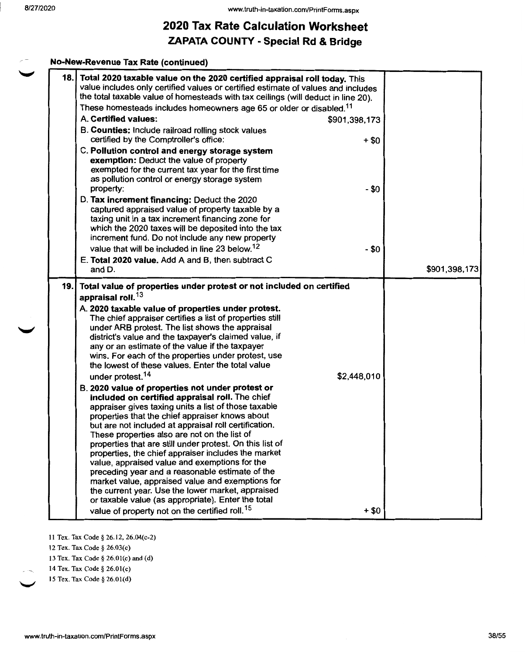**No-New-Revenue Tax Rate (continued)** 

| 18.  | Total 2020 taxable value on the 2020 certified appraisal roll today. This<br>value includes only certified values or certified estimate of values and includes<br>the total taxable value of homesteads with tax ceilings (will deduct in line 20).<br>These homesteads includes homeowners age 65 or older or disabled. <sup>11</sup><br>A. Certified values:<br>B. Counties: Include railroad rolling stock values<br>certified by the Comptroller's office:<br>C. Pollution control and energy storage system<br>exemption: Deduct the value of property<br>exempted for the current tax year for the first time<br>as pollution control or energy storage system<br>property:<br>D. Tax increment financing: Deduct the 2020<br>captured appraised value of property taxable by a<br>taxing unit in a tax increment financing zone for<br>which the 2020 taxes will be deposited into the tax<br>increment fund. Do not include any new property<br>value that will be included in line 23 below. <sup>12</sup><br>E. Total 2020 value. Add A and B, then subtract C<br>and D.                                                                                                                                                                                                                                | \$901,398,173<br>$+$ \$0<br>$- $0$<br>- \$0 | \$901,398,173 |
|------|-------------------------------------------------------------------------------------------------------------------------------------------------------------------------------------------------------------------------------------------------------------------------------------------------------------------------------------------------------------------------------------------------------------------------------------------------------------------------------------------------------------------------------------------------------------------------------------------------------------------------------------------------------------------------------------------------------------------------------------------------------------------------------------------------------------------------------------------------------------------------------------------------------------------------------------------------------------------------------------------------------------------------------------------------------------------------------------------------------------------------------------------------------------------------------------------------------------------------------------------------------------------------------------------------------------------|---------------------------------------------|---------------|
| 19.I | Total value of properties under protest or not included on certified<br>appraisal roll. <sup>13</sup><br>A. 2020 taxable value of properties under protest.<br>The chief appraiser certifies a list of properties still<br>under ARB protest. The list shows the appraisal<br>district's value and the taxpayer's claimed value, if<br>any or an estimate of the value if the taxpayer<br>wins. For each of the properties under protest, use<br>the lowest of these values. Enter the total value<br>under protest. <sup>14</sup><br>B. 2020 value of properties not under protest or<br>included on certified appraisal roll. The chief<br>appraiser gives taxing units a list of those taxable<br>properties that the chief appraiser knows about<br>but are not included at appraisal roll certification.<br>These properties also are not on the list of<br>properties that are still under protest. On this list of<br>properties, the chief appraiser includes the market<br>value, appraised value and exemptions for the<br>preceding year and a reasonable estimate of the<br>market value, appraised value and exemptions for<br>the current year. Use the lower market, appraised<br>or taxable value (as appropriate). Enter the total<br>value of property not on the certified roll. <sup>15</sup> | \$2,448,010<br>$+$ \$0                      |               |

11 Tex. Tax Code§ 26.12, 26.04(c-2)

- 12 Tex. Tax Code§ 26.03(c)
- 13 Tex. Tax Code§ 26.0l(c) and (d)
- 14 Tex. Tax Code§ 26.0l(c)
- 15 Tex. Tax Code§ 26.0l(d)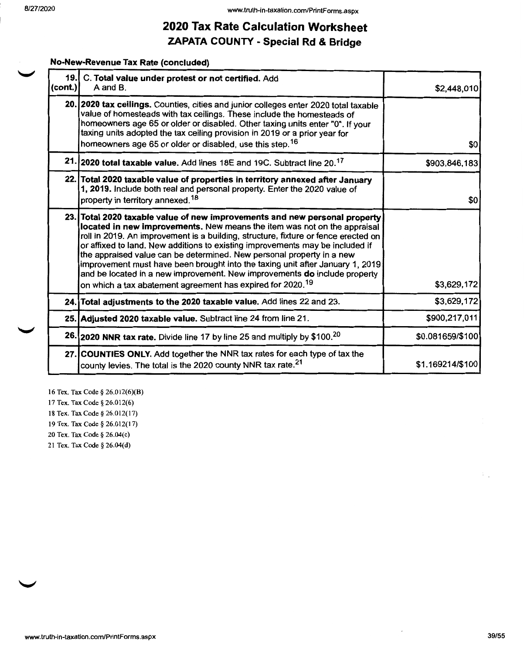#### **No-New-Revenue Tax Rate (concluded)**

| $\{cont.\}$ | 19. C. Total value under protest or not certified. Add<br>A and B.                                                                                                                                                                                                                                                                                                                                                                                                                                                                                                                                                                             | \$2,448,010      |
|-------------|------------------------------------------------------------------------------------------------------------------------------------------------------------------------------------------------------------------------------------------------------------------------------------------------------------------------------------------------------------------------------------------------------------------------------------------------------------------------------------------------------------------------------------------------------------------------------------------------------------------------------------------------|------------------|
|             | 20. 2020 tax ceilings. Counties, cities and junior colleges enter 2020 total taxable<br>value of homesteads with tax ceilings. These include the homesteads of<br>homeowners age 65 or older or disabled. Other taxing units enter "0". If your<br>taxing units adopted the tax ceiling provision in 2019 or a prior year for<br>homeowners age 65 or older or disabled, use this step. <sup>16</sup>                                                                                                                                                                                                                                          | \$0              |
|             | 21. 2020 total taxable value. Add lines 18E and 19C. Subtract line 20. <sup>17</sup>                                                                                                                                                                                                                                                                                                                                                                                                                                                                                                                                                           | \$903,846,183    |
|             | 22. Total 2020 taxable value of properties in territory annexed after January<br>1, 2019. Include both real and personal property. Enter the 2020 value of<br>property in territory annexed. <sup>18</sup>                                                                                                                                                                                                                                                                                                                                                                                                                                     | \$0              |
|             | 23. Total 2020 taxable value of new improvements and new personal property<br>located in new improvements. New means the item was not on the appraisal<br>roll in 2019. An improvement is a building, structure, fixture or fence erected on<br>or affixed to land. New additions to existing improvements may be included if<br>the appraised value can be determined. New personal property in a new<br>improvement must have been brought into the taxing unit after January 1, 2019<br>and be located in a new improvement. New improvements do include property<br>on which a tax abatement agreement has expired for 2020. <sup>19</sup> | \$3,629,172      |
|             | 24. Total adjustments to the 2020 taxable value. Add lines 22 and 23.                                                                                                                                                                                                                                                                                                                                                                                                                                                                                                                                                                          | \$3,629,172      |
|             | 25. Adjusted 2020 taxable value. Subtract line 24 from line 21.                                                                                                                                                                                                                                                                                                                                                                                                                                                                                                                                                                                | \$900,217,011    |
|             | 26. 2020 NNR tax rate. Divide line 17 by line 25 and multiply by \$100. <sup>20</sup>                                                                                                                                                                                                                                                                                                                                                                                                                                                                                                                                                          | \$0.081659/\$100 |
|             | 27. COUNTIES ONLY. Add together the NNR tax rates for each type of tax the<br>county levies. The total is the 2020 county NNR tax rate. <sup>21</sup>                                                                                                                                                                                                                                                                                                                                                                                                                                                                                          | \$1.169214/\$100 |

16 Tex. Tax Code§ 26.012(6)(B)

17 Tex. Tax Code§ 26.012(6)

18 Tex. Tax Code§ 26.012(17)

19 Tex. Tax Code§ 26.012(17)

20 Tex. Tax Code§ 26.04(c)

21 Tex. Tax Code § 26.04(d)

 $\mathbb{C}_{\geq 0}$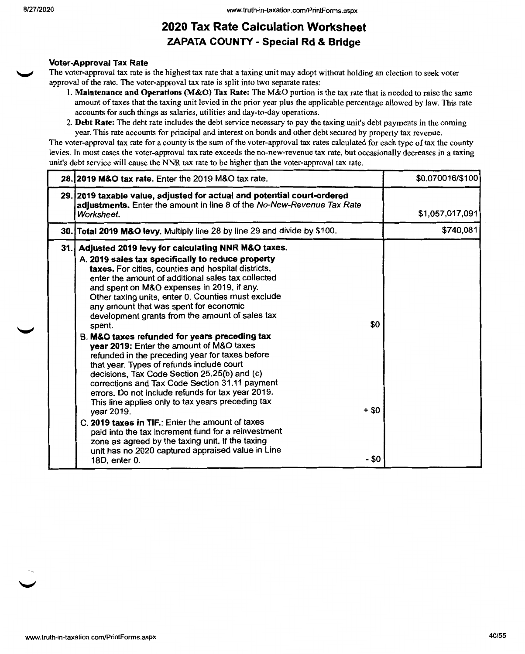#### **Voter-Approval Tax Rate**

The voter-approval tax rate is the highest tax rate that a taxing unit may adopt without holding an election to seek voter approval of the rate. The voter-approval tax rate is split into two separate rates:

- 1. **Maintenance and Operations (M&O) Tax Rate:** The M&O portion is the tax rate that is needed to raise the same amount of taxes that the taxing unit levied in the prior year plus the applicable percentage allowed by law. This rate accounts for such things as salaries, utilities and day-to-day operations.
- 2. **Debt Rate:** The debt rate includes the debt service necessary to pay the taxing unit's debt payments in the coming year. This rate accounts for principal and interest on bonds and other debt secured by property tax revenue.

The voter-approval tax rate for a county is the sum of the voter-approval tax rates calculated for each type of tax the county levies. In most cases the voter-approval tax rate exceeds the no-new-revenue tax rate, but occasionally decreases in a taxing unit's debt service will cause the NNR tax rate to be higher than the voter-approval tax rate.

| 28.12019 M&O tax rate. Enter the 2019 M&O tax rate.                                                                                                                                                                                                                                                                                                                                                                                                                                                                                                                                                                                                                                                                                                                                                                                                                                                                                                                                                                                                                                                                     | \$0.070016/\$100 |
|-------------------------------------------------------------------------------------------------------------------------------------------------------------------------------------------------------------------------------------------------------------------------------------------------------------------------------------------------------------------------------------------------------------------------------------------------------------------------------------------------------------------------------------------------------------------------------------------------------------------------------------------------------------------------------------------------------------------------------------------------------------------------------------------------------------------------------------------------------------------------------------------------------------------------------------------------------------------------------------------------------------------------------------------------------------------------------------------------------------------------|------------------|
| 29. 2019 taxable value, adjusted for actual and potential court-ordered<br>adjustments. Enter the amount in line 8 of the No-New-Revenue Tax Rate<br>Worksheet.                                                                                                                                                                                                                                                                                                                                                                                                                                                                                                                                                                                                                                                                                                                                                                                                                                                                                                                                                         | \$1,057,017,091  |
| 30. Total 2019 M&O levy. Multiply line 28 by line 29 and divide by \$100.                                                                                                                                                                                                                                                                                                                                                                                                                                                                                                                                                                                                                                                                                                                                                                                                                                                                                                                                                                                                                                               | \$740,081        |
| 31. Adjusted 2019 levy for calculating NNR M&O taxes.<br>A. 2019 sales tax specifically to reduce property<br>taxes. For cities, counties and hospital districts,<br>enter the amount of additional sales tax collected<br>and spent on M&O expenses in 2019, if any.<br>Other taxing units, enter 0. Counties must exclude<br>any amount that was spent for economic<br>development grants from the amount of sales tax<br>\$0<br>spent.<br>B. M&O taxes refunded for years preceding tax<br>year 2019: Enter the amount of M&O taxes<br>refunded in the preceding year for taxes before<br>that year. Types of refunds include court<br>decisions, Tax Code Section 25.25(b) and (c)<br>corrections and Tax Code Section 31.11 payment<br>errors. Do not include refunds for tax year 2019.<br>This line applies only to tax years preceding tax<br>+ \$0<br>year 2019.<br>C. 2019 taxes in TIF.: Enter the amount of taxes<br>paid into the tax increment fund for a reinvestment<br>zone as agreed by the taxing unit. If the taxing<br>unit has no 2020 captured appraised value in Line<br>- \$0<br>18D, enter 0. |                  |

 $\overline{\phantom{0}}$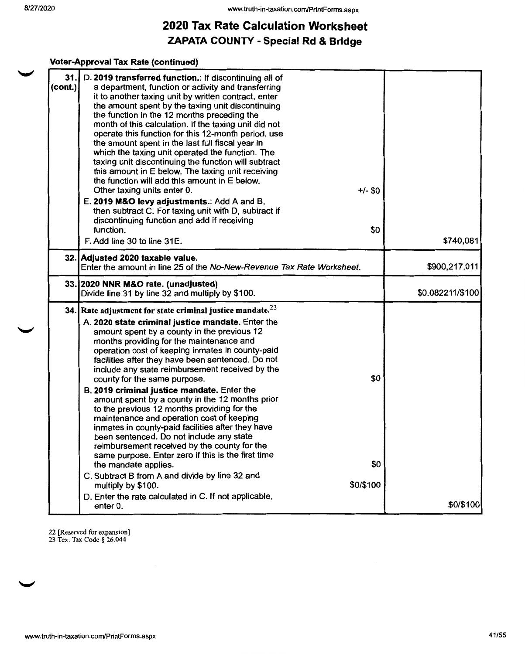#### **Voter-Approval Tax Rate {continued)**

| 31.<br>$($ cont. $) $ | D. 2019 transferred function.: if discontinuing all of<br>a department, function or activity and transferring<br>it to another taxing unit by written contract, enter<br>the amount spent by the taxing unit discontinuing<br>the function in the 12 months preceding the<br>month of this calculation. If the taxing unit did not<br>operate this function for this 12-month period, use<br>the amount spent in the last full fiscal year in<br>which the taxing unit operated the function. The<br>taxing unit discontinuing the function will subtract<br>this amount in E below. The taxing unit receiving<br>the function will add this amount in E below.<br>Other taxing units enter 0.<br>E. 2019 M&O levy adjustments.: Add A and B,                                                                                                                                                                 | $+/- $0$                |                  |
|-----------------------|---------------------------------------------------------------------------------------------------------------------------------------------------------------------------------------------------------------------------------------------------------------------------------------------------------------------------------------------------------------------------------------------------------------------------------------------------------------------------------------------------------------------------------------------------------------------------------------------------------------------------------------------------------------------------------------------------------------------------------------------------------------------------------------------------------------------------------------------------------------------------------------------------------------|-------------------------|------------------|
|                       | then subtract C. For taxing unit with D, subtract if<br>discontinuing function and add if receiving<br>function.<br>F. Add line 30 to line 31E.                                                                                                                                                                                                                                                                                                                                                                                                                                                                                                                                                                                                                                                                                                                                                               | \$0                     | \$740,081        |
|                       | 32. Adjusted 2020 taxable value.<br>Enter the amount in line 25 of the No-New-Revenue Tax Rate Worksheet.                                                                                                                                                                                                                                                                                                                                                                                                                                                                                                                                                                                                                                                                                                                                                                                                     | \$900,217,011           |                  |
|                       | 33. 2020 NNR M&O rate. (unadjusted)<br>Divide line 31 by line 32 and multiply by \$100.                                                                                                                                                                                                                                                                                                                                                                                                                                                                                                                                                                                                                                                                                                                                                                                                                       |                         | \$0.082211/\$100 |
|                       | 34. Rate adjustment for state criminal justice mandate. $23$<br>A. 2020 state criminal justice mandate. Enter the<br>amount spent by a county in the previous 12<br>months providing for the maintenance and<br>operation cost of keeping inmates in county-paid<br>facilities after they have been sentenced. Do not<br>include any state reimbursement received by the<br>county for the same purpose.<br>B. 2019 criminal justice mandate. Enter the<br>amount spent by a county in the 12 months prior<br>to the previous 12 months providing for the<br>maintenance and operation cost of keeping<br>inmates in county-paid facilities after they have<br>been sentenced. Do not include any state<br>reimbursement received by the county for the<br>same purpose. Enter zero if this is the first time<br>the mandate applies.<br>C. Subtract B from A and divide by line 32 and<br>multiply by \$100. | \$0<br>\$0<br>\$0/\$100 |                  |
|                       | D. Enter the rate calculated in C. If not applicable,<br>enter 0.                                                                                                                                                                                                                                                                                                                                                                                                                                                                                                                                                                                                                                                                                                                                                                                                                                             |                         | \$0/\$100        |

22 [Reserved for expansion] 23 Tex. Tax Code § 26.044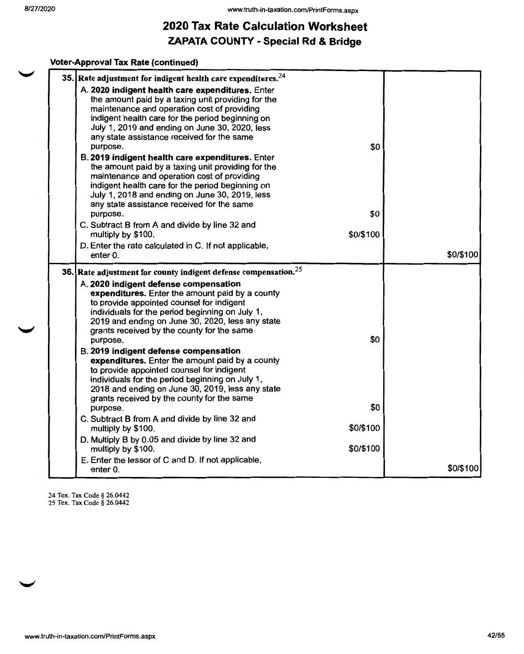#### **Voter-Approval Tax Rate (continued)**

|  | 35. Rate adjustment for indigent health care expenditures. $^{24}$                              |           |           |
|--|-------------------------------------------------------------------------------------------------|-----------|-----------|
|  | A. 2020 indigent health care expenditures. Enter                                                |           |           |
|  | the amount paid by a taxing unit providing for the                                              |           |           |
|  | maintenance and operation cost of providing<br>indigent health care for the period beginning on |           |           |
|  | July 1, 2019 and ending on June 30, 2020, less                                                  |           |           |
|  | any state assistance received for the same                                                      |           |           |
|  | purpose.                                                                                        | \$0       |           |
|  | B. 2019 indigent health care expenditures. Enter                                                |           |           |
|  | the amount paid by a taxing unit providing for the                                              |           |           |
|  | maintenance and operation cost of providing<br>indigent health care for the period beginning on |           |           |
|  | July 1, 2018 and ending on June 30, 2019, less                                                  |           |           |
|  | any state assistance received for the same                                                      |           |           |
|  | purpose.                                                                                        | \$0       |           |
|  | C. Subtract B from A and divide by line 32 and                                                  |           |           |
|  | multiply by \$100.                                                                              | \$0/\$100 |           |
|  | D. Enter the rate calculated in C. If not applicable,                                           |           |           |
|  | enter 0.                                                                                        |           | \$0/\$100 |
|  | 36. [Rate adjustment for county indigent defense compensation. $25$                             |           |           |
|  | A. 2020 indigent defense compensation                                                           |           |           |
|  | expenditures. Enter the amount paid by a county                                                 |           |           |
|  | to provide appointed counsel for indigent<br>individuals for the period beginning on July 1,    |           |           |
|  | 2019 and ending on June 30, 2020, less any state                                                |           |           |
|  | grants received by the county for the same                                                      |           |           |
|  | purpose.                                                                                        | \$0       |           |
|  | B. 2019 indigent defense compensation                                                           |           |           |
|  | expenditures. Enter the amount paid by a county                                                 |           |           |
|  | to provide appointed counsel for indigent<br>individuals for the period beginning on July 1,    |           |           |
|  | 2018 and ending on June 30, 2019, less any state                                                |           |           |
|  | grants received by the county for the same                                                      |           |           |
|  | purpose.                                                                                        | \$0       |           |
|  | C. Subtract B from A and divide by line 32 and                                                  |           |           |
|  | multiply by \$100.                                                                              | \$0/\$100 |           |
|  | D. Multiply B by 0.05 and divide by line 32 and                                                 |           |           |
|  | multiply by \$100.                                                                              | \$0/\$100 |           |
|  | E. Enter the lessor of C and D. If not applicable,<br>enter 0.                                  |           | \$0/\$100 |
|  |                                                                                                 |           |           |

24 Tex. Tax Code § 26.0442 25 Tex. Tax Code § 26.0442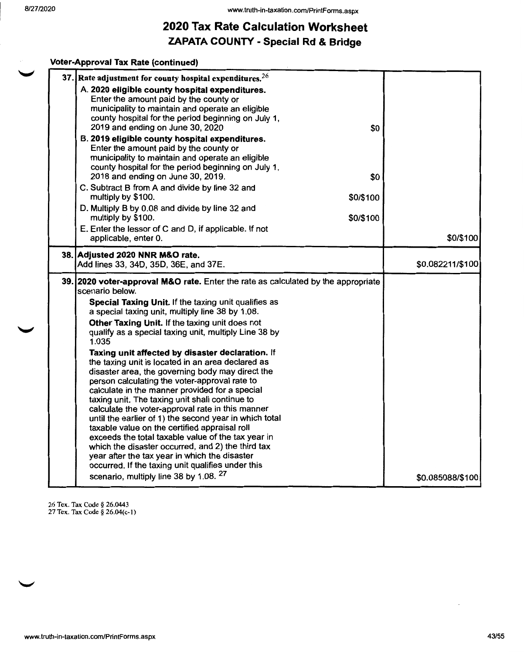#### **Voter-Approval Tax Rate (continued)**

|                  |           | 37. Rate adjustment for county hospital expenditures. $26$                                                                                                                                                                                                     |
|------------------|-----------|----------------------------------------------------------------------------------------------------------------------------------------------------------------------------------------------------------------------------------------------------------------|
|                  | \$0       | A. 2020 eligible county hospital expenditures.<br>Enter the amount paid by the county or<br>municipality to maintain and operate an eligible<br>county hospital for the period beginning on July 1,<br>2019 and ending on June 30, 2020                        |
|                  | \$0       | B. 2019 eligible county hospital expenditures.<br>Enter the amount paid by the county or<br>municipality to maintain and operate an eligible<br>county hospital for the period beginning on July 1,<br>2018 and ending on June 30, 2019.                       |
|                  | \$0/\$100 | C. Subtract B from A and divide by line 32 and<br>multiply by \$100.                                                                                                                                                                                           |
|                  | \$0/\$100 | D. Multiply B by 0.08 and divide by line 32 and<br>multiply by \$100.<br>E. Enter the lessor of C and D, if applicable. If not                                                                                                                                 |
| \$0/\$100        |           | applicable, enter 0.                                                                                                                                                                                                                                           |
| \$0.082211/\$100 |           | 38. Adjusted 2020 NNR M&O rate.<br>Add lines 33, 34D, 35D, 36E, and 37E.                                                                                                                                                                                       |
|                  |           | 39. 2020 voter-approval M&O rate. Enter the rate as calculated by the appropriate<br>scenario below.                                                                                                                                                           |
|                  |           | Special Taxing Unit. If the taxing unit qualifies as<br>a special taxing unit, multiply line 38 by 1.08.                                                                                                                                                       |
|                  |           |                                                                                                                                                                                                                                                                |
|                  |           | Other Taxing Unit. If the taxing unit does not<br>qualify as a special taxing unit, multiply Line 38 by<br>1.035                                                                                                                                               |
|                  |           | Taxing unit affected by disaster declaration. If<br>the taxing unit is located in an area declared as<br>disaster area, the governing body may direct the<br>person calculating the voter-approval rate to                                                     |
|                  |           | calculate in the manner provided for a special<br>taxing unit. The taxing unit shall continue to<br>calculate the voter-approval rate in this manner<br>until the earlier of 1) the second year in which total                                                 |
|                  |           | taxable value on the certified appraisal roll<br>exceeds the total taxable value of the tax year in<br>which the disaster occurred, and 2) the third tax<br>year after the tax year in which the disaster<br>occurred. If the taxing unit qualifies under this |

26 Tex. Tax Code § 26.0443

27 Tex. Tax Code§ 26.04(c-l)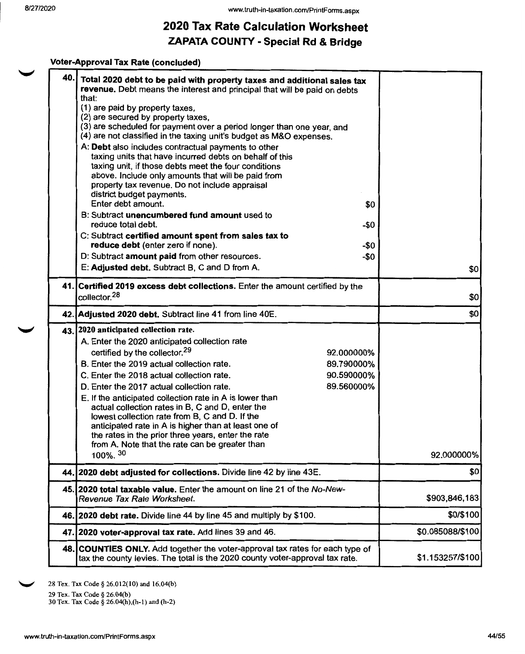#### **Voter-Approval Tax Rate {concluded)**

| 40.  | Total 2020 debt to be paid with property taxes and additional sales tax<br>revenue. Debt means the interest and principal that will be paid on debts<br>that:<br>(1) are paid by property taxes,<br>(2) are secured by property taxes,<br>(3) are scheduled for payment over a period longer than one year, and<br>(4) are not classified in the taxing unit's budget as M&O expenses.<br>A: Debt also includes contractual payments to other<br>taxing units that have incurred debts on behalf of this<br>taxing unit, if those debts meet the four conditions<br>above. Include only amounts that will be paid from<br>property tax revenue. Do not include appraisal<br>district budget payments.<br>Enter debt amount.<br>\$0<br>B: Subtract unencumbered fund amount used to |                  |
|------|------------------------------------------------------------------------------------------------------------------------------------------------------------------------------------------------------------------------------------------------------------------------------------------------------------------------------------------------------------------------------------------------------------------------------------------------------------------------------------------------------------------------------------------------------------------------------------------------------------------------------------------------------------------------------------------------------------------------------------------------------------------------------------|------------------|
|      | reduce total debt.<br>-\$0<br>C: Subtract certified amount spent from sales tax to<br>reduce debt (enter zero if none).<br>-\$0                                                                                                                                                                                                                                                                                                                                                                                                                                                                                                                                                                                                                                                    |                  |
|      | D: Subtract amount paid from other resources.<br>$-50$<br>E: Adjusted debt. Subtract B, C and D from A.                                                                                                                                                                                                                                                                                                                                                                                                                                                                                                                                                                                                                                                                            | \$0              |
| 41.I | Certified 2019 excess debt collections. Enter the amount certified by the<br>collector. <sup>28</sup>                                                                                                                                                                                                                                                                                                                                                                                                                                                                                                                                                                                                                                                                              | \$0              |
|      | 42. Adjusted 2020 debt. Subtract line 41 from line 40E.                                                                                                                                                                                                                                                                                                                                                                                                                                                                                                                                                                                                                                                                                                                            | \$0              |
|      | 43. 2020 anticipated collection rate.<br>A. Enter the 2020 anticipated collection rate<br>certified by the collector. <sup>29</sup><br>92.000000%<br>89.790000%<br>B. Enter the 2019 actual collection rate.<br>90.590000%<br>C. Enter the 2018 actual collection rate.<br>89.560000%<br>D. Enter the 2017 actual collection rate.<br>E. If the anticipated collection rate in A is lower than<br>actual collection rates in B, C and D, enter the<br>lowest collection rate from B, C and D. If the<br>anticipated rate in A is higher than at least one of<br>the rates in the prior three years, enter the rate<br>from A. Note that the rate can be greater than<br>100%. 30                                                                                                   | 92.000000%       |
|      | 44. 2020 debt adjusted for collections. Divide line 42 by line 43E.                                                                                                                                                                                                                                                                                                                                                                                                                                                                                                                                                                                                                                                                                                                | \$0              |
|      | 45. 2020 total taxable value. Enter the amount on line 21 of the No-New-<br>Revenue Tax Rate Worksheet.                                                                                                                                                                                                                                                                                                                                                                                                                                                                                                                                                                                                                                                                            | \$903,846,183    |
|      | 46. 2020 debt rate. Divide line 44 by line 45 and multiply by \$100.                                                                                                                                                                                                                                                                                                                                                                                                                                                                                                                                                                                                                                                                                                               | \$0/\$100        |
|      | 47. 2020 voter-approval tax rate. Add lines 39 and 46.                                                                                                                                                                                                                                                                                                                                                                                                                                                                                                                                                                                                                                                                                                                             | \$0.085088/\$100 |
|      | 48. COUNTIES ONLY. Add together the voter-approval tax rates for each type of<br>tax the county levies. The total is the 2020 county voter-approval tax rate.                                                                                                                                                                                                                                                                                                                                                                                                                                                                                                                                                                                                                      | \$1.153257/\$100 |

28 Tex. Tax Code § 26.012(10) and 16.04(b) 29 Tex. Tax Code§ 26.04(b)

30 Tex. Tax Code § 26.04(h),(h-1) and (h-2)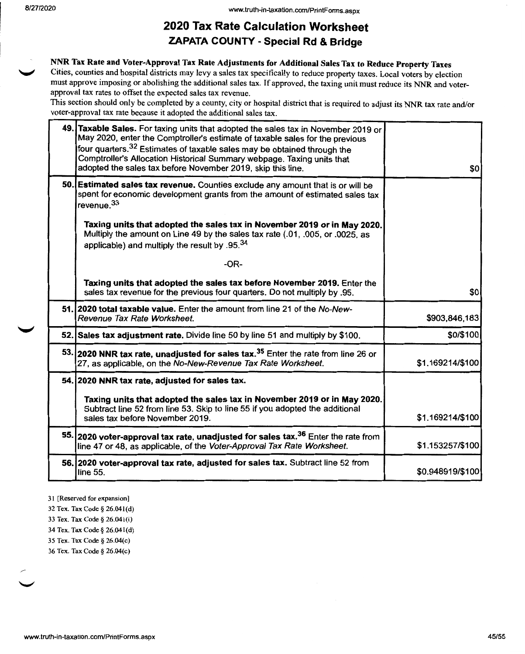#### **NNR Tax Rate and Voter-Approval Tax Rate Adjustments for Additional Sales Tax to Reduce Property Taxes**

Cities, counties and hospital districts may levy a sales tax specifically to reduce property taxes. Local voters by election must approve imposing or abolishing the additional sales tax. If approved, the taxing unit must reduce its NNR and voterapproval tax rates to offset the expected sales tax revenue.

This section should only be completed by a county, city or hospital district that is required to adjust its **NNR** tax rate and/or voter-approval tax rate because it adopted the additional sales tax.

| 49. Taxable Sales. For taxing units that adopted the sales tax in November 2019 or<br>May 2020, enter the Comptroller's estimate of taxable sales for the previous<br>four quarters. <sup>32</sup> Estimates of taxable sales may be obtained through the<br>Comptroller's Allocation Historical Summary webpage. Taxing units that<br>adopted the sales tax before November 2019, skip this line. | \$0              |
|----------------------------------------------------------------------------------------------------------------------------------------------------------------------------------------------------------------------------------------------------------------------------------------------------------------------------------------------------------------------------------------------------|------------------|
| 50. Estimated sales tax revenue. Counties exclude any amount that is or will be<br>spent for economic development grants from the amount of estimated sales tax<br>revenue. <sup>33</sup>                                                                                                                                                                                                          |                  |
| Taxing units that adopted the sales tax in November 2019 or in May 2020.<br>Multiply the amount on Line 49 by the sales tax rate (.01, .005, or .0025, as<br>applicable) and multiply the result by .95.34                                                                                                                                                                                         |                  |
| $-OR-$                                                                                                                                                                                                                                                                                                                                                                                             |                  |
| Taxing units that adopted the sales tax before November 2019. Enter the<br>sales tax revenue for the previous four quarters. Do not multiply by .95.                                                                                                                                                                                                                                               | \$0              |
| 51. 2020 total taxable value. Enter the amount from line 21 of the No-New-<br>Revenue Tax Rate Worksheet.                                                                                                                                                                                                                                                                                          | \$903,846,183    |
| 52. Sales tax adjustment rate. Divide line 50 by line 51 and multiply by \$100.                                                                                                                                                                                                                                                                                                                    | \$0/\$100        |
| 53. 2020 NNR tax rate, unadjusted for sales tax. <sup>35</sup> Enter the rate from line 26 or<br>27, as applicable, on the No-New-Revenue Tax Rate Worksheet.                                                                                                                                                                                                                                      | \$1.169214/\$100 |
| 54. 2020 NNR tax rate, adjusted for sales tax.                                                                                                                                                                                                                                                                                                                                                     |                  |
| Taxing units that adopted the sales tax in November 2019 or in May 2020.<br>Subtract line 52 from line 53. Skip to line 55 if you adopted the additional<br>sales tax before November 2019.                                                                                                                                                                                                        | \$1.169214/\$100 |
| 55. 2020 voter-approval tax rate, unadjusted for sales tax. <sup>36</sup> Enter the rate from<br>line 47 or 48, as applicable, of the Voter-Approval Tax Rate Worksheet.                                                                                                                                                                                                                           | \$1.153257/\$100 |
| 56. 2020 voter-approval tax rate, adjusted for sales tax. Subtract line 52 from<br>line 55.                                                                                                                                                                                                                                                                                                        | \$0.948919/\$100 |

31 [Reserved for expansion]

32 Tex. Tax Code§ 26.04l(d)

33 Tex. Tax Code§ 26.04l(i)

34 Tex. Tax Code§ 26.04l(d)

35 Tex. Tax Code§ 26.04(c)

36 Tex. Tax Code§ 26.04(c)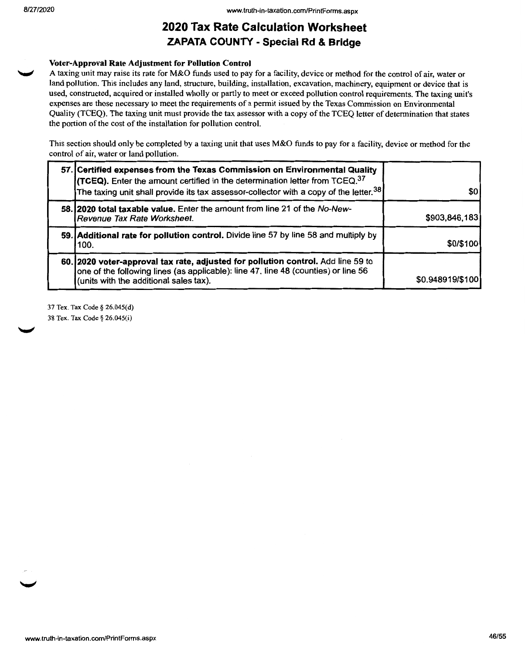#### **Voter-Approval Rate Adjustment for Pollution Control**

*"-11* A taxing unit may raise its rate for M&O funds used to pay for a facility, device or method for the control of air, water or land pollution. This includes any land, structure, building, installation, excavation, machinery, equipment or device that is used, constructed, acquired or installed wholly or partly to meet or exceed pollution control requirements. The taxing unit's expenses are those necessary to meet the requirements of a permit issued by the Texas Commission on Environmental Quality (TCEQ). The taxing unit must provide the tax assessor with a copy of the TCEQ letter of determination that states the portion of the cost of the installation for pollution control.

This section should only be completed by a taxing unit that uses M&O funds to pay for a facility, device or method for the control of air, water or land pollution.

| 57. Certified expenses from the Texas Commission on Environmental Quality<br><b>(TCEQ).</b> Enter the amount certified in the determination letter from TCEQ. <sup>37</sup><br>The taxing unit shall provide its tax assessor-collector with a copy of the letter. <sup>38</sup> | \$O              |
|----------------------------------------------------------------------------------------------------------------------------------------------------------------------------------------------------------------------------------------------------------------------------------|------------------|
| 58. 2020 total taxable value. Enter the amount from line 21 of the No-New-<br>Revenue Tax Rate Worksheet.                                                                                                                                                                        | \$903,846,183    |
| 59. Additional rate for pollution control. Divide line 57 by line 58 and multiply by<br>100.                                                                                                                                                                                     | \$0/\$100        |
| 60. 2020 voter-approval tax rate, adjusted for pollution control. Add line 59 to<br>one of the following lines (as applicable): line 47, line 48 (counties) or line 56<br>(units with the additional sales tax).                                                                 | \$0.948919/\$100 |

37 Tex. Tax Code§ 26.045(d) 38 Tex. Tax Code § 26.045(i)

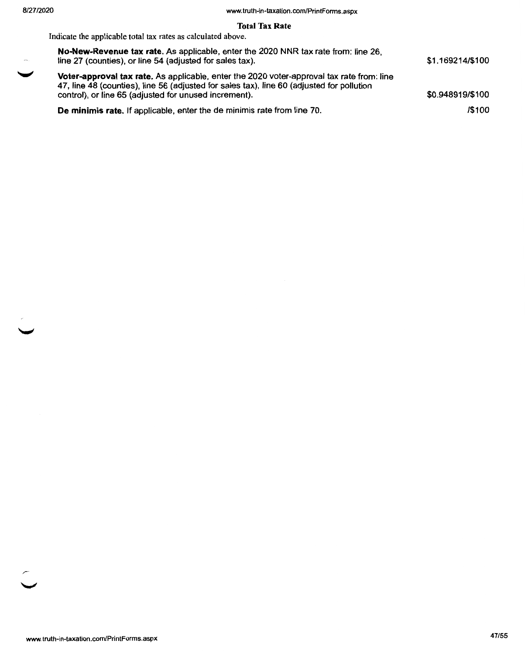#### **Total Tax Rate**

Indicate the applicable total tax rates as calculated above.

| No-New-Revenue tax rate. As applicable, enter the 2020 NNR tax rate from: line 26.<br>line 27 (counties), or line 54 (adjusted for sales tax).                                                                                                  | \$1.169214/\$100 |
|-------------------------------------------------------------------------------------------------------------------------------------------------------------------------------------------------------------------------------------------------|------------------|
| Voter-approval tax rate. As applicable, enter the 2020 voter-approval tax rate from: line<br>47, line 48 (counties), line 56 (adjusted for sales tax), line 60 (adjusted for pollution<br>control), or line 65 (adjusted for unused increment). | \$0.948919/\$100 |
| De minimis rate. If applicable, enter the de minimis rate from line 70.                                                                                                                                                                         | /\$100           |

www.truth-in-taxation.com/PrintForms.aspx

 $\tilde{\zeta}$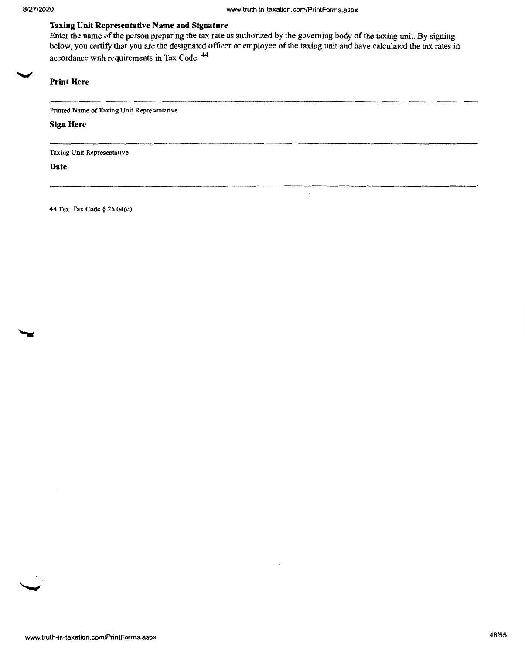z

#### **Taxing Unit Representative Name and Signature**

Enter the name of the person preparing the tax rate as authorized by the governing body of the taxing unit. By signing below, you certify that you are the designated officer or employee of the taxing unit and have calculated the tax rates in accordance with requirements in Tax Code. <sup>44</sup>

#### **Print Here**

Printed Name of Taxing Unit Representative

#### **Sign Here**

Taxing Unit Representative

**Date** 

44 Tex. Tax Code§ 26.04(c)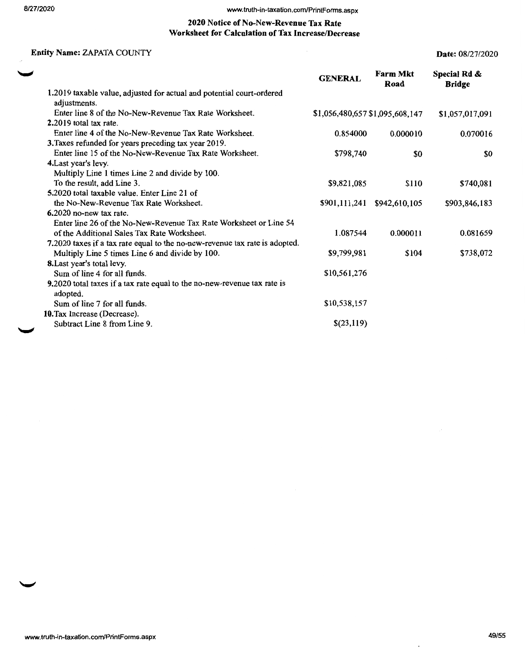#### www.truth-in-taxation.com/PrintForms.aspx

#### **2020 Notice of No-New-Revenue Tax Rate Worksheet for Calculation of Tax Increase/Decrease**

#### **Entity Name:** ZAPATA COUNTY

**Date:** 08/27/2020

|                                                                                       | <b>GENERAL</b>                  | <b>Farm Mkt</b><br>Road | Special Rd &<br><b>Bridge</b> |
|---------------------------------------------------------------------------------------|---------------------------------|-------------------------|-------------------------------|
| 1.2019 taxable value, adjusted for actual and potential court-ordered<br>adjustments. |                                 |                         |                               |
| Enter line 8 of the No-New-Revenue Tax Rate Worksheet.                                | \$1,056,480,657 \$1,095,608,147 |                         | \$1,057,017,091               |
| 2.2019 total tax rate.                                                                |                                 |                         |                               |
| Enter line 4 of the No-New-Revenue Tax Rate Worksheet.                                | 0.854000                        | 0.000010                | 0.070016                      |
| 3. Taxes refunded for years preceding tax year 2019.                                  |                                 |                         |                               |
| Enter line 15 of the No-New-Revenue Tax Rate Worksheet.                               | \$798,740                       | SO.                     | \$0                           |
| 4. Last year's levy.                                                                  |                                 |                         |                               |
| Multiply Line 1 times Line 2 and divide by 100.                                       |                                 |                         |                               |
| To the result, add Line 3.                                                            | \$9,821,085                     | \$110                   | \$740,081                     |
| 5.2020 total taxable value. Enter Line 21 of                                          |                                 |                         |                               |
| the No-New-Revenue Tax Rate Worksheet.                                                | \$901,111,241                   | \$942,610,105           | \$903,846,183                 |
| $6.2020$ no-new tax rate.                                                             |                                 |                         |                               |
| Enter line 26 of the No-New-Revenue Tax Rate Worksheet or Line 54                     |                                 |                         |                               |
| of the Additional Sales Tax Rate Worksheet.                                           | 1.087544                        | 0.000011                | 0.081659                      |
| 7.2020 taxes if a tax rate equal to the no-new-revenue tax rate is adopted.           |                                 |                         |                               |
| Multiply Line 5 times Line 6 and divide by 100.                                       | \$9,799,981                     | \$104                   | \$738,072                     |
| 8. Last year's total levy.                                                            |                                 |                         |                               |
| Sum of line 4 for all funds.                                                          | \$10,561,276                    |                         |                               |
| 9.2020 total taxes if a tax rate equal to the no-new-revenue tax rate is              |                                 |                         |                               |
| adopted.                                                                              |                                 |                         |                               |
| Sum of line 7 for all funds.                                                          | \$10,538,157                    |                         |                               |
| 10. Tax Increase (Decrease).                                                          |                                 |                         |                               |
| Subtract Line 8 from Line 9.                                                          | \$(23,119)                      |                         |                               |

 $\ddot{\phantom{a}}$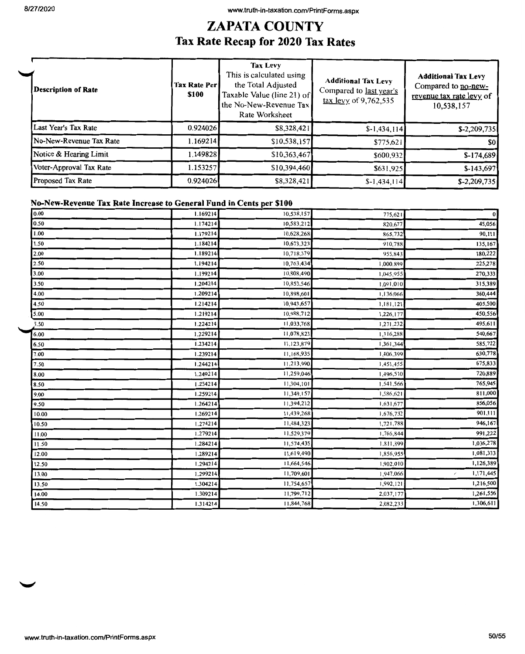8/27/2020 www.truth-in-taxation.com/PrintForms.aspx

## **ZAPATA COUNTY Tax Rate Recap for 2020 Tax Rates**

| <b>Description of Rate</b> | <b>Tax Rate Perl</b><br><b>S100</b> | <b>Tax Levy</b><br>This is calculated using<br>the Total Adjusted<br>Taxable Value (line 21) of<br>the No-New-Revenue Tax<br>Rate Worksheet | <b>Additional Tax Levy</b><br>Compared to last year's<br>$\frac{\text{tax} \text{levy}}{1000}$ of 9,762,535 | <b>Additional Tax Levy</b><br>Compared to no-new-<br>revenue tax rate levy of<br>10,538,157 |
|----------------------------|-------------------------------------|---------------------------------------------------------------------------------------------------------------------------------------------|-------------------------------------------------------------------------------------------------------------|---------------------------------------------------------------------------------------------|
| Last Year's Tax Rate       | 0.924026                            | \$8,328,421                                                                                                                                 | $$-1,434,114$                                                                                               | $$-2,209,735$                                                                               |
| No-New-Revenue Tax Rate    | 1.169214                            | \$10,538,157                                                                                                                                | \$775,621                                                                                                   | \$0 <sub>1</sub>                                                                            |
| Notice & Hearing Limit     | 1.149828                            | \$10,363,467                                                                                                                                | \$600,932                                                                                                   | $$-174,689$                                                                                 |
| Voter-Approval Tax Rate    | 1.153257                            | \$10,394,460                                                                                                                                | \$631,925                                                                                                   | $$-143,697$                                                                                 |
| Proposed Tax Rate          | 0.924026                            | \$8,328,421                                                                                                                                 | $$-1,434,114$                                                                                               | $$-2,209,735$                                                                               |

#### **No-New-Revenue Tax Rate Increase to General Fund in Cents per \$100**

| 0.00  | 1.169214 | 10,538,157 | 775,621   | $\mathbf{o}$            |
|-------|----------|------------|-----------|-------------------------|
| 0.50  | 1.174214 | 10,583,212 | 820,677   | 45,056                  |
| 1.00  | 1.179214 | 10,628,268 | 865,732   | 90,111                  |
| 1.50  | 1.184214 | 10,673,323 | 910,788   | 135,167                 |
| 2.00  | 1.189214 | 10,718,379 | 955,843   | 180,222                 |
| 2.50  | 1.194214 | 10,763,434 | 1,000,899 | 225,278                 |
| 3.00  | 1.199214 | 10,808,490 | 1,045,955 | 270,333                 |
| 3.50  | 1.204214 | 10,853,546 | 1,091,010 | 315,389                 |
| 4.00  | 1.209214 | 10,898,601 | 1,136,066 | 360,444                 |
| 4.50  | 1.214214 | 10,943,657 | 1,181,121 | 405,500                 |
| 5.00  | 1.219214 | 10,988,712 | 1,226,177 | 450,556                 |
| 5.50  | 1.224214 | 11,033,768 | 1,271,232 | 495,611                 |
| 6.00  | 1.229214 | 11,078,823 | 1,316,288 | 540,667                 |
| 6.50  | 1.234214 | 11,123,879 | 1,361,344 | 585,722                 |
| 7.00  | 1.239214 | 11,168,935 | 1,406,399 | 630,778                 |
| 7.50  | 1.244214 | 11,213,990 | 1,451,455 | 675,833                 |
| 8.00  | 1.249214 | 11,259,046 | 1,496,510 | 720,889                 |
| 8.50  | 1.254214 | 11,304,101 | 1,541,566 | 765,945                 |
| 9.00  | 1.259214 | 11,349,157 | 1,586,621 | 811,000                 |
| 9.50  | 1.264214 | 11,394,212 | 1,631,677 | 856,056                 |
| 10.00 | 1.269214 | 11,439,268 | 1,676,732 | 901,111                 |
| 10.50 | 1.274214 | 11,484,323 | 1,721,788 | 946,167                 |
| 11.00 | 1.279214 | 11,529,379 | 1,766,844 | 991,222                 |
| 11.50 | 1.284214 | 11,574,435 | 1,811,899 | 1,036,278               |
| 12.00 | 1.289214 | 11,619,490 | 1,856,955 | 1,081,333               |
| 12.50 | 1.294214 | 11,664,546 | 1,902,010 | 1,126,389               |
| 13.00 | 1.299214 | 11,709,601 | 1,947,066 | 1,171,445<br>$\epsilon$ |
| 13.50 | 1.304214 | 11,754,657 | 1,992,121 | 1,216,500               |
| 14.00 | 1.309214 | 11,799,712 | 2,037,177 | 1,261,556               |
| 14.50 | 1.314214 | 11,844,768 | 2,082,233 | 1,306,611               |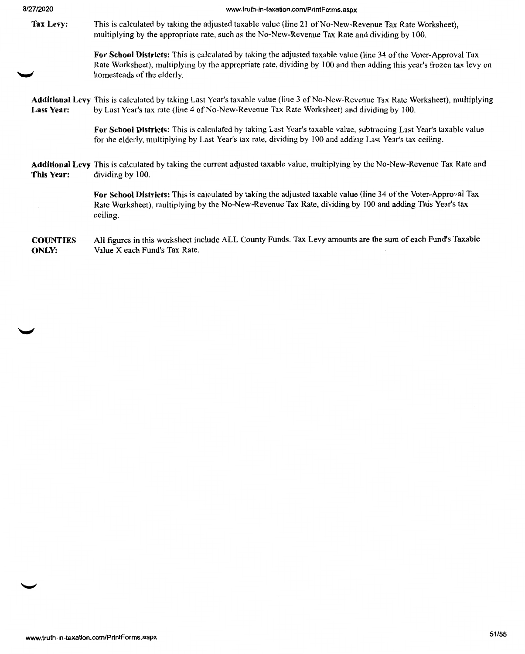| 8/27/2020 |
|-----------|
|-----------|

#### www.truth-in-taxation.com/PrintForms.aspx

**Tax Levy:**  This is calculated by taking the adjusted taxable value (line 21 of No-New-Revenue Tax Rate Worksheet), multiplying by the appropriate rate, such as the No-New-Revenue Tax Rate and dividing by 100.

> **For School Districts:** This is calculated by taking the adjusted taxable value (line 34 of the Voter-Approval Tax Rate Worksheet), multiplying by the appropriate rate, dividing by 100 and then adding this year's frozen tax levy on homesteads of the elderly.

**Additional Levy** This is calculated by taking Last Year's taxable value (line 3 of No-New-Revenue Tax Rate Worksheet), multiplying Last Year: by Last Year's tax rate (line 4 of No-New-Revenue Tax Rate Worksheet) and dividing by 100.

> **For School Districts:** This is calculared by taking Last Year's taxable value, subtracting Last Year's taxable value for the elderly, multiplying by Last Year's tax rate, dividing by I 00 and adding Last Year's tax ceiling.

**Additional Levy** This is calculated by taking the current adjusted taxable value, multiplying by the No-New-Revenue Tax Rate and **This Year:** dividing by 100.

> **For School Districts:** This is calculated by taking the adjusted taxable value (line 34 of the Voter-Approval Tax Rate Worksheet), multiplying by the No-New-Revenue Tax Rate, dividing by 100 and adding This Year's tax ceiling.

**COUNTIES ONLY:**  All figures in this worksheet include ALL County Funds. Tax Levy amounts are the sum of each Fund's Taxable Value X each Fund's Tax Rate.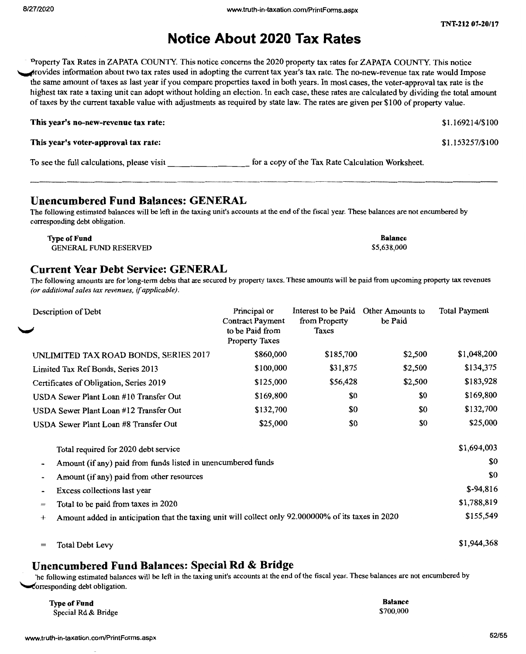**TNT-212 07-20/17** 

## **Notice About 2020 Tax Rates**

l>roperty Tax Rates in ZAPATA COUNTY. This notice concerns the 2020 property tax rates for ZAPATA COUNTY. This notice ~rovides information about two tax rates used in adopting the current tax year's tax rate. The no-new-revenue tax rate would Impose the same amount of taxes as last year if you compare properties taxed in both years. In most cases, the voter-approval tax rate is the highest tax rate a taxing unit can adopt without holding an election. In each case, these rates are calculated by dividing the total amount of taxes by the current taxable value with adjustments as required by state law. The rates are given per \$100 of property value.

| This year's no-new-revenue tax rate:       |                                                   | \$1.169214/\$100 |
|--------------------------------------------|---------------------------------------------------|------------------|
| This year's voter-approval tax rate:       |                                                   | \$1.153257/\$100 |
| To see the full calculations, please visit | for a copy of the Tax Rate Calculation Worksheet. |                  |

#### **Unencumbered Fund Balances: GENERAL**

The following estimated balances will be left in the taxing unit's accounts at the end of the fiscal year. These balances are not encumbered by corresponding debt obligation.

**Type of Fund**  GENERAL FUND RESERVED **Balance**  \$5,638,000

#### **Current Year Debt Service: GENERAL**

The following amounts are for long-term debts that are secured by property taxes. These amounts will be paid from upcoming property tax revenues *(or additional sales tax revenues,* if *applicable).* 

| Description of Debt                                                                                           | Principal or<br><b>Contract Payment</b><br>to be Paid from<br><b>Property Taxes</b> | Interest to be Paid<br>from Property<br>Taxes | Other Amounts to<br>be Paid | <b>Total Payment</b> |
|---------------------------------------------------------------------------------------------------------------|-------------------------------------------------------------------------------------|-----------------------------------------------|-----------------------------|----------------------|
| UNLIMITED TAX ROAD BONDS, SERIES 2017                                                                         | \$860,000                                                                           | \$185,700                                     | \$2,500                     | \$1,048,200          |
| Limited Tax Ref Bonds, Series 2013                                                                            | \$100,000                                                                           | \$31,875                                      | \$2,500                     | \$134,375            |
| Certificates of Obligation, Series 2019                                                                       | \$125,000                                                                           | \$56,428                                      | \$2,500                     | \$183,928            |
| USDA Sewer Plant Loan #10 Transfer Out                                                                        | \$169,800                                                                           | \$0                                           | \$0                         | \$169,800            |
| USDA Sewer Plant Loan #12 Transfer Out                                                                        | \$132,700                                                                           | \$0                                           | \$0                         | \$132,700            |
| USDA Sewer Plant Loan #8 Transfer Out                                                                         | \$25,000                                                                            | \$0                                           | \$0                         | \$25,000             |
| Total required for 2020 debt service                                                                          |                                                                                     |                                               |                             | \$1,694,003          |
| Amount (if any) paid from funds listed in unencumbered funds<br>$\blacksquare$                                |                                                                                     |                                               |                             |                      |
| Amount (if any) paid from other resources<br>$\overline{\phantom{a}}$                                         |                                                                                     |                                               |                             |                      |
| Excess collections last year<br>$\blacksquare$                                                                |                                                                                     |                                               |                             |                      |
| Total to be paid from taxes in 2020<br>$=$                                                                    |                                                                                     |                                               |                             |                      |
| Amount added in anticipation that the taxing unit will collect only 92.000000% of its taxes in 2020<br>$^{+}$ |                                                                                     |                                               |                             |                      |
| <b>Total Debt Levy</b><br>$=$                                                                                 |                                                                                     |                                               |                             | \$1,944,368          |

### **Unencumbered Fund Balances: Special Rd** & **Bridge**

'he following estimated balances will be left in the taxing unit's accounts at the end of the fiscal year. These balances are not encumbered by ~orresponding debt obligation.

| <b>Type of Fund</b> | Balance   |
|---------------------|-----------|
| Special Rd & Bridge | \$700.000 |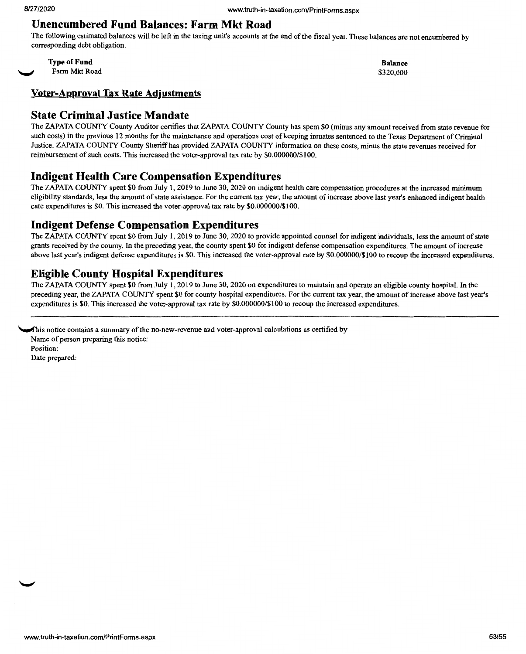#### **Unencumbered Fund Balances: Farm Mkt Road**

The following estimated balances will be left in the taxing unit's accounts at the end of the fiscal year. These balances are not encumbered by corresponding debt obligation.

**Type of Fund**  Farm Mkt Road

**Balance**  \$320,000

#### **Voter-Approval Tax Rate Adjustments**

#### **State Criminal Justice Mandate**

The ZAPATA COUNTY County Auditor certifies that ZAPATA COUNTY County has spent \$0 (minus any amount received from state revenue for such costs) in the previous 12 months for the maintenance and operations cost of keeping inmates sentenced to the Texas Department of Criminal Justice. ZAPATA COUNTY County Sheriff has provided ZAPATA COUNTY information on these costs, minus the state revenues received for reimbursement of such costs. This increased the voter-approval tax rate by \$0.000000/\$100.

#### **Indigent Health Care Compensation Expenditures**

The ZAPATA COUNTY spent \$0 from July I, 2019 to June 30, 2020 on indigent health care compensation procedures at the increased minimum eligibility standards, less the amount of state assistance. For the current tax year, the amount of increase above last year's enhanced indigent health care expenditures is \$0. This increased the voter-approval tax rate by \$0.000000/\$100.

#### **Indigent Defense Compensation Expenditures**

The ZAPATA COUNTY spent \$0 from July I, 2019 to June 30, 2020 to provide appointed counsel for indigent individuals, less the amount of state grants received by the county. In the preceding year, the county spent \$0 for indigent defense compensation expenditures. The amount of increase above last year's indigent defense expenditures is \$0. This increased the voter-approval rate by \$0.000000/\$100 to recoup the increased expenditures.

#### **Eligible County Hospital Expenditures**

The ZAPATA COUNTY spent \$0 from July I, 2019 to June 30, 2020 on expenditures to maintain and operate an eligible county hospital. In the preceding year, the ZAPATA COUNTY spent \$0 for county hospital expenditures. For the current tax year, the amount of increase above last year's expenditures is \$0. This increased the voter-approval tax rate by \$0.000000/\$100 to recoup the increased expenditures.

This notice contains a summary of the no-new-revenue and voter-approval calculations as certified by Name of person preparing this notice: Position: Date prepared: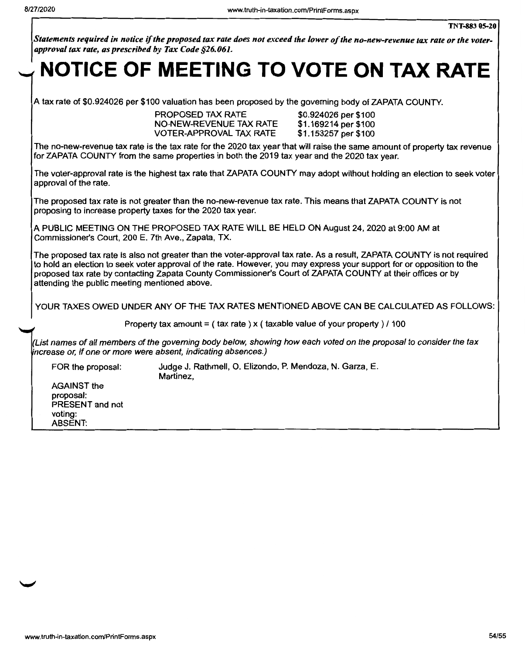*Statements required in notice* if *the proposed tax rate does not exceed the lower of the no-new-revenue tax rate or the voterapproval tax rate, as prescribed by Tax Code §26.061.* 

# **NOTICE OF MEETING TO VOTE ON TAX RATE**

A tax rate of \$0.924026 per \$100 valuation has been proposed by the governing body of ZAPATA COUNTY.

PROPOSED TAX RATE \$0.924026 per \$100<br>NO-NEW-REVENUE TAX RATE \$1.169214 per \$100 NO-NEW-REVENUE TAX RATE \$1.169214 per \$100<br>VOTER-APPROVAL TAX RATE \$1.153257 per \$100 VOTER-APPROVAL TAX RATE

The no-new-revenue tax rate is the tax rate for the 2020 tax year that will raise the same amount of property tax revenue for ZAPATA COUNTY from the same properties in both the 2019 tax year and the 2020 tax year.

The voter-approval rate is the highest tax rate that ZAPATA COUNTY may adopt without holding an election to seek voter approval of the rate.

The proposed tax rate is not greater than the no-new-revenue tax rate. This means that ZAPATA COUNTY is not proposing to increase property taxes for the 2020 tax year.

A PUBLIC MEETING ON THE PROPOSED TAX RATE WILL BE HELD ON August 24, 2020 at 9:00 AM at Commissioner's Court, 200 E. 7th Ave., Zapata, TX.

The proposed tax rate is also not greater than the voter-approval tax rate. As a result, ZAPATA COUNTY is not required to hold an election to seek voter approval of the rate. However, you may express your support for or opposition to the proposed tax rate by contacting Zapata County Commissioner's Court of ZAPATA COUNTY at their offices or by attending the public meeting mentioned above.

YOUR TAXES OWED UNDER ANY OF THE TAX RATES MENTIONED ABOVE CAN BE CALCULATED AS FOLLOWS:

Property tax amount =  $($  tax rate  $) \times ($  taxable value of your property  $) / 100$ 

(List names of all members of the governing body below, showing how each voted on the proposal to consider the tax increase or, if one or more were absent, indicating absences.)

FOR the proposal: Judge J. Rathmell, 0. Elizondo, P. Mendoza, N. Garza, E. Martinez,

AGAINST the proposal: PRESENT and not voting: ABSENT: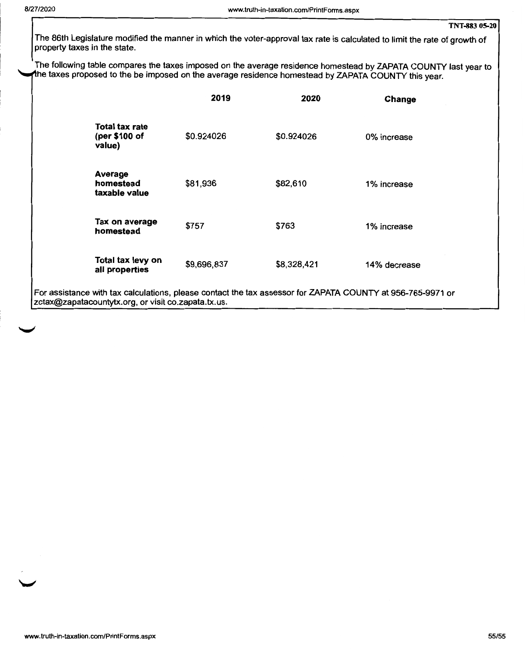The 86th Legislature modified the manner in which the voter-approval tax rate is calculated to limit the rate of growth of property taxes in the state.

The following table compares the taxes imposed on the average residence homestead by ZAPATA COUNTY last year to The taxes proposed to the be imposed on the average residence homestead by ZAPATA COUNTY this year.

|                                           | 2019        | 2020        | Change       |
|-------------------------------------------|-------------|-------------|--------------|
| Total tax rate<br>(per \$100 of<br>value) | \$0.924026  | \$0.924026  | 0% increase  |
| Average<br>homestead<br>taxable value     | \$81,936    | \$82,610    | 1% increase  |
| Tax on average<br>homestead               | \$757       | \$763       | 1% increase  |
| Total tax levy on<br>all properties       | \$9,696,837 | \$8,328,421 | 14% decrease |

For assistance with tax calculations, please contact the tax assessor for ZAPATA COUNTY at 956-765-9971 or zctax@zapatacountytx.org, or visit co.zapata.tx.us.